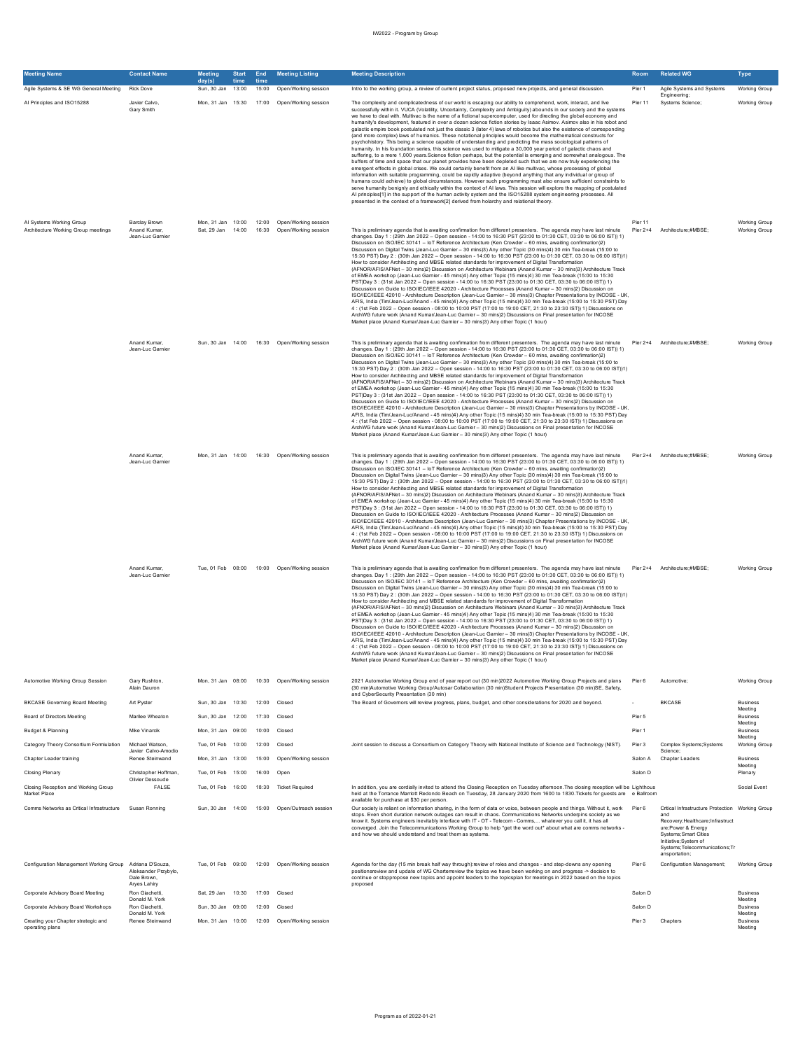| <b>Meeting Name</b>                                             | <b>Contact Name</b>                                                     | Meeting<br>day(s)                      | <b>Start</b><br>time | End<br>time | <b>Meeting Listing</b>                                   | <b>Meeting Description</b>                                                                                                                                                                                                                                                                                                                                                                                                                                                                                                                                                                                                                                                                                                                                                                                                                                                                                                                                                                                                                                                                                                                                                                                                                                                                                                                                                                                                                                                                                                                                                                                                                                                                                                                                                                                                                                                                                                            | Room    | <b>Related WG</b>                                                                                                                                                                                                      | Type                           |
|-----------------------------------------------------------------|-------------------------------------------------------------------------|----------------------------------------|----------------------|-------------|----------------------------------------------------------|---------------------------------------------------------------------------------------------------------------------------------------------------------------------------------------------------------------------------------------------------------------------------------------------------------------------------------------------------------------------------------------------------------------------------------------------------------------------------------------------------------------------------------------------------------------------------------------------------------------------------------------------------------------------------------------------------------------------------------------------------------------------------------------------------------------------------------------------------------------------------------------------------------------------------------------------------------------------------------------------------------------------------------------------------------------------------------------------------------------------------------------------------------------------------------------------------------------------------------------------------------------------------------------------------------------------------------------------------------------------------------------------------------------------------------------------------------------------------------------------------------------------------------------------------------------------------------------------------------------------------------------------------------------------------------------------------------------------------------------------------------------------------------------------------------------------------------------------------------------------------------------------------------------------------------------|---------|------------------------------------------------------------------------------------------------------------------------------------------------------------------------------------------------------------------------|--------------------------------|
| Agile Systems & SE WG General Meeting                           | <b>Rick Dove</b>                                                        | Sun, 30 Jan                            | 13:00                | 15:00       | Open/Working session                                     | Intro to the working group, a review of current project status, proposed new projects, and general discussion.                                                                                                                                                                                                                                                                                                                                                                                                                                                                                                                                                                                                                                                                                                                                                                                                                                                                                                                                                                                                                                                                                                                                                                                                                                                                                                                                                                                                                                                                                                                                                                                                                                                                                                                                                                                                                        | Pier 1  | Agile Systems and Systems<br>Engineering:                                                                                                                                                                              | <b>Working Group</b>           |
| Al Principles and ISO15288                                      | Javier Calvo,<br>Gary Smith                                             | Mon, 31 Jan 15:30                      |                      |             | 17:00 Open/Working session                               | The complexity and complicatedness of our world is escaping our ability to comprehend, work, interact, and live<br>successfully within it. VUCA (Volatility, Uncertainty, Complexity and Ambiguity) abounds in our society and the systems<br>we have to deal with. Multivac is the name of a fictional supercomputer, used for directing the global economy and<br>humanity's development, featured in over a dozen science fiction stories by Isaac Asimov. Asimov also in his robot and<br>galactic empire book postulated not just the classic 3 (later 4) laws of robotics but also the existence of corresponding<br>(and more complex) laws of humanics. These notational principles would become the mathematical constructs for<br>psychohistory. This being a science capable of understanding and predicting the mass sociological patterns of<br>humanity. In his foundation series, this science was used to mitigate a 30,000 year period of galactic chaos and<br>suffering, to a mere 1,000 years. Science fiction perhaps, but the potential is emerging and somewhat analogous. The<br>buffers of time and space that our planet provides have been depleted such that we are now truly experiencing the<br>emergent effects in global crises. We could certainly benefit from an AI like multivac, whose processing of global<br>information with suitable programming, could be rapidly adaptive (beyond anything that any individual or group of<br>humans could achieve) to global circumstances. However such programming must also ensure sufficient constraints to<br>serve humanity benignly and ethically within the context of AI laws. This session will explore the mapping of postulated<br>AI principles[1] in the support of the human activity system and the ISO15288 system engineering processes. All<br>presented in the context of a framework[2] derived from holarchy and relational theory. | Pier 11 | Systems Science;                                                                                                                                                                                                       | <b>Working Group</b>           |
| Al Systems Working Group<br>Architecture Working Group meetings | Barclay Brown<br>Anand Kumar,<br>Jean-Luc Gamier                        | Mon. 31 Jan 10:00<br>Sat, 29 Jan 14:00 |                      |             | 12:00 Open/Working session<br>16:30 Open/Working session | This is preliminary agenda that is awaiting confirmation from different presenters. The agenda may have last minute<br>changes. Day 1 : (29th Jan 2022 - Open session - 14:00 to 16:30 PST (23:00 to 01:30 CET, 03:30 to 06:00 IST)) 1)<br>Discussion on ISO/IEC 30141 - IoT Reference Architecture (Ken Crowder - 60 mins, awaiting confirmation)2)<br>Discussion on Digital Twins (Jean-Luc Gamier - 30 mins)3) Any other Topic (30 mins)4) 30 min Tea-break (15:00 to<br>15:30 PST) Day 2 : (30th Jan 2022 - Open session - 14:00 to 16:30 PST (23:00 to 01:30 CET, 03:30 to 06:00 IST))1)<br>How to consider Architecting and MBSE related standards for improvement of Digital Transformation<br>(AFNOR/AFIS/AFNet - 30 mins)2) Discussion on Architecture Webinars (Anand Kumar - 30 mins)3) Architecture Track<br>of EMEA workshop (Jean-Luc Gamier - 45 mins)4) Any other Topic (15 mins)4) 30 min Tea-break (15:00 to 15:30<br>PST)Day 3: (31st Jan 2022 - Open session - 14:00 to 16:30 PST (23:00 to 01:30 CET, 03:30 to 06:00 IST)) 1)<br>Discussion on Guide to ISO/IEC/IEEE 42020 - Architecture Processes (Anand Kumar - 30 mins)2) Discussion on<br>ISO/IEC/IEEE 42010 - Architecture Description (Jean-Luc Garnier - 30 mins)3) Chapter Presentations by INCOSE - UK,<br>AFIS, India (Tim/Jean-Luc/Anand - 45 mins)4) Any other Topic (15 mins)4) 30 min Tea-break (15:00 to 15:30 PST) Day<br>4: (1st Feb 2022 - Open session - 08:00 to 10:00 PST (17:00 to 19:00 CET, 21:30 to 23:30 IST)) 1) Discussions on<br>ArchWG future work (Anand Kumar/Jean-Luc Garnier - 30 mins)2) Discussions on Final presentation for INCOSE<br>Market place (Anand Kumar/Jean-Luc Gamier - 30 mins)3) Any other Topic (1 hour)                                                                                                                                                                                                     | Pier 11 | Pier 2+4 Architecture;#MBSE;                                                                                                                                                                                           | Working Group<br>Working Group |
|                                                                 | Anand Kumar<br>Jean-Luc Gamier                                          |                                        |                      |             | Sun, 30 Jan 14:00 16:30 Open/Working session             | This is preliminary agenda that is awaiting confirmation from different presenters. The agenda may have last minute<br>changes. Day 1: (29th Jan 2022 - Open session - 14:00 to 16:30 PST (23:00 to 01:30 CET, 03:30 to 06:00 IST)) 1)<br>Discussion on ISO/IEC 30141 - IoT Reference Architecture (Ken Crowder - 60 mins, awaiting confirmation)2)<br>Discussion on Digital Twins (Jean-Luc Gamier - 30 mins)3) Any other Topic (30 mins)4) 30 min Tea-break (15:00 to<br>15:30 PST) Day 2: (30th Jan 2022 - Open session - 14:00 to 16:30 PST (23:00 to 01:30 CET, 03:30 to 06:00 IST))1)<br>How to consider Architecting and MBSE related standards for improvement of Digital Transformation<br>(AFNOR/AFIS/AFNet - 30 mins)2) Discussion on Architecture Webinars (Anand Kumar - 30 mins)3) Architecture Track<br>of EMEA workshop (Jean-Luc Garnier - 45 mins)4) Any other Topic (15 mins)4) 30 min Tea-break (15:00 to 15:30<br>PST)Day 3: (31st Jan 2022 - Open session - 14:00 to 16:30 PST (23:00 to 01:30 CET, 03:30 to 06:00 IST)) 1)<br>Discussion on Guide to ISO/IEC/IEEE 42020 - Architecture Processes (Anand Kumar - 30 mins)2) Discussion on<br>ISO/IEC/IEEE 42010 - Architecture Description (Jean-Luc Gamier - 30 mins)3) Chapter Presentations by INCOSE - UK.<br>AFIS, India (Tim/Jean-Luc/Anand - 45 mins)4) Any other Topic (15 mins)4) 30 min Tea-break (15:00 to 15:30 PST) Day<br>4 : (1st Feb 2022 - Open session - 08:00 to 10:00 PST (17:00 to 19:00 CET, 21:30 to 23:30 IST)) 1) Discussions on<br>ArchWG future work (Anand Kumar/Jean-Luc Garnier - 30 mins)2) Discussions on Final presentation for INCOSE<br>Market place (Anand Kumar/Jean-Luc Gamier - 30 mins)3) Any other Topic (1 hour)                                                                                                                                                                                                      |         | Pier 2+4 Architecture;#MBSE;                                                                                                                                                                                           | <b>Working Group</b>           |
|                                                                 | Anand Kumar.<br>Jean-Luc Gamier                                         |                                        |                      |             | Mon. 31 Jan 14:00 16:30 Open/Working session             | This is preliminary agenda that is awaiting confirmation from different presenters. The agenda may have last minute<br>changes. Day 1: (29th Jan 2022 - Open session - 14:00 to 16:30 PST (23:00 to 01:30 CET, 03:30 to 06:00 IST)) 1)<br>Discussion on ISO/IEC 30141 - IoT Reference Architecture (Ken Crowder - 60 mins, awaiting confirmation)2)<br>Discussion on Digital Twins (Jean-Luc Gamier - 30 mins)3) Any other Topic (30 mins)4) 30 min Tea-break (15:00 to<br>15:30 PST) Day 2: (30th Jan 2022 - Open session - 14:00 to 16:30 PST (23:00 to 01:30 CET, 03:30 to 06:00 IST))1)<br>How to consider Architecting and MBSE related standards for improvement of Digital Transformation<br>(AFNOR/AFIS/AFNet - 30 mins)2) Discussion on Architecture Webinars (Anand Kumar - 30 mins)3) Architecture Track<br>of EMEA workshop (Jean-Luc Gamier - 45 mins)4) Any other Topic (15 mins)4) 30 min Tea-break (15:00 to 15:30<br>PST)Day 3 : (31st Jan 2022 - Open session - 14:00 to 16:30 PST (23:00 to 01:30 CET, 03:30 to 06:00 IST)) 1)<br>Discussion on Guide to ISO/IEC/IEEE 42020 - Architecture Processes (Anand Kumar - 30 mins)2) Discussion on<br>ISO/IEC/IEEE 42010 - Architecture Description (Jean-Luc Gamier - 30 mins)3) Chapter Presentations by INCOSE - UK.<br>AFIS, India (Tim/Jean-Luc/Anand - 45 mins)4) Any other Topic (15 mins)4) 30 min Tea-break (15:00 to 15:30 PST) Day<br>4 : (1st Feb 2022 - Open session - 08:00 to 10:00 PST (17:00 to 19:00 CET, 21:30 to 23:30 IST)) 1) Discussions on<br>ArchWG future work (Anand Kumar/Jean-Luc Garnier - 30 mins)2) Discussions on Final presentation for INCOSE<br>Market place (Anand Kumar/Jean-Luc Gamier - 30 mins)3) Any other Topic (1 hour)                                                                                                                                                                                                      |         | Pier 2+4 Architecture:#MBSE:                                                                                                                                                                                           | Working Group                  |
|                                                                 | Anand Kumar.<br>Jean-Luc Gamier                                         |                                        |                      |             | Tue, 01 Feb 08:00 10:00 Open/Working session             | This is preliminary agenda that is awaiting confirmation from different presenters. The agenda may have last minute<br>changes, Day 1: (29th Jan 2022 - Open session - 14:00 to 16:30 PST (23:00 to 01:30 CET, 03:30 to 06:00 IST)) 1)<br>Discussion on ISO/IEC 30141 - IoT Reference Architecture (Ken Crowder - 60 mins, awaiting confirmation)2)<br>Discussion on Digital Twins (Jean-Luc Gamier - 30 mins)3) Any other Topic (30 mins)4) 30 min Tea-break (15:00 to<br>15:30 PST) Day 2: (30th Jan 2022 - Open session - 14:00 to 16:30 PST (23:00 to 01:30 CET, 03:30 to 06:00 IST))1)<br>How to consider Architecting and MBSE related standards for improvement of Digital Transformation<br>(AFNOR/AFIS/AFNet - 30 mins)2) Discussion on Architecture Webinars (Anand Kumar - 30 mins)3) Architecture Track<br>of EMEA workshop (Jean-Luc Gamier - 45 mins)4) Any other Topic (15 mins)4) 30 min Tea-break (15:00 to 15:30<br>PST)Day 3 : (31st Jan 2022 - Open session - 14:00 to 16:30 PST (23:00 to 01:30 CET, 03:30 to 06:00 IST)) 1)<br>Discussion on Guide to ISO/IEC/IEEE 42020 - Architecture Processes (Anand Kumar - 30 mins)2) Discussion on<br>ISO/IEC/IEEE 42010 - Architecture Description (Jean-Luc Garnier - 30 mins)3) Chapter Presentations by INCOSE - UK,<br>AFIS, India (Tim/Jean-Luc/Anand - 45 mins)4) Any other Topic (15 mins)4) 30 min Tea-break (15:00 to 15:30 PST) Day<br>4 : (1st Feb 2022 - Open session - 08:00 to 10:00 PST (17:00 to 19:00 CET, 21:30 to 23:30 IST)) 1) Discussions on<br>ArchWG future work (Anand Kumar/Jean-Luc Garnier - 30 mins)2) Discussions on Final presentation for INCOSE<br>Market place (Anand Kumar/Jean-Luc Gamier - 30 mins)3) Any other Topic (1 hour)                                                                                                                                                                                                     |         | Pier 2+4 Architecture:#MBSE:                                                                                                                                                                                           | Working Group                  |
| Automotive Working Group Session                                | Gary Rushton<br>Alain Daumn                                             | Mon, 31 Jan 08:00                      |                      | 10:30       | Open/Working session                                     | 2021 Automotive Working Group end of year report out (30 min)2022 Automotive Working Group Projects and plans<br>(30 min)Automotive Working Group/Autosar Collaboration (30 min)Student Projects Presentation (30 min)SE, Safety,<br>and CyberSecurity Presentation (30 min)                                                                                                                                                                                                                                                                                                                                                                                                                                                                                                                                                                                                                                                                                                                                                                                                                                                                                                                                                                                                                                                                                                                                                                                                                                                                                                                                                                                                                                                                                                                                                                                                                                                          | Pier 6  | Automotive;                                                                                                                                                                                                            | <b>Working Group</b>           |
| <b>BKCASE Governing Board Meeting</b>                           | Art Pyster                                                              | Sun. 30 Jan 10:30                      |                      | 12:00       | Closed                                                   | The Board of Governors will review progress, plans, budget, and other considerations for 2020 and beyond.                                                                                                                                                                                                                                                                                                                                                                                                                                                                                                                                                                                                                                                                                                                                                                                                                                                                                                                                                                                                                                                                                                                                                                                                                                                                                                                                                                                                                                                                                                                                                                                                                                                                                                                                                                                                                             |         | <b>BKCASE</b>                                                                                                                                                                                                          | <b>Business</b><br>Meeting     |
| Board of Directors Meeting                                      | Marilee Wheaton                                                         | Sun. 30 Jan 12:00                      |                      | 17:30       | Closed                                                   |                                                                                                                                                                                                                                                                                                                                                                                                                                                                                                                                                                                                                                                                                                                                                                                                                                                                                                                                                                                                                                                                                                                                                                                                                                                                                                                                                                                                                                                                                                                                                                                                                                                                                                                                                                                                                                                                                                                                       | Pier 5  |                                                                                                                                                                                                                        | <b>Business</b><br>Meeting     |
| Budget & Planning                                               | Mike Vinarcik                                                           | Mon. 31 Jan 09:00                      |                      | 10:00       | Closed                                                   |                                                                                                                                                                                                                                                                                                                                                                                                                                                                                                                                                                                                                                                                                                                                                                                                                                                                                                                                                                                                                                                                                                                                                                                                                                                                                                                                                                                                                                                                                                                                                                                                                                                                                                                                                                                                                                                                                                                                       | Pier 1  |                                                                                                                                                                                                                        | <b>Business</b><br>Meeting     |
| Category Theory Consortium Formiulation                         | Michael Watson,<br>Javier Calvo-Amodio                                  | Tue, 01 Feb                            | 10:00                | 12:00       | Closed                                                   | Joint session to discuss a Consortium on Category Theory with National Institute of Science and Technology (NIST).                                                                                                                                                                                                                                                                                                                                                                                                                                                                                                                                                                                                                                                                                                                                                                                                                                                                                                                                                                                                                                                                                                                                                                                                                                                                                                                                                                                                                                                                                                                                                                                                                                                                                                                                                                                                                    | Pier 3  | Complex Systems; Systems<br>Science:                                                                                                                                                                                   | <b>Working Group</b>           |
| Chapter Leader training                                         | Renee Steinwand                                                         | Mon, 31 Jan 13:00                      |                      | 15:00       | Open/Working session                                     |                                                                                                                                                                                                                                                                                                                                                                                                                                                                                                                                                                                                                                                                                                                                                                                                                                                                                                                                                                                                                                                                                                                                                                                                                                                                                                                                                                                                                                                                                                                                                                                                                                                                                                                                                                                                                                                                                                                                       | Salon A | <b>Chapter Leaders</b>                                                                                                                                                                                                 | <b>Business</b><br>Meeting     |
| Closing Plenary                                                 | Christopher Hoffman,<br>Olivier Dessoude                                | Tue, 01 Feb 15:00                      |                      | 16:00       | Open                                                     |                                                                                                                                                                                                                                                                                                                                                                                                                                                                                                                                                                                                                                                                                                                                                                                                                                                                                                                                                                                                                                                                                                                                                                                                                                                                                                                                                                                                                                                                                                                                                                                                                                                                                                                                                                                                                                                                                                                                       | Salon D |                                                                                                                                                                                                                        | Plenary                        |
| Closing Reception and Working Group<br>Market Place             | <b>FALSE</b>                                                            | Tue, 01 Feb                            | 16:00                | 18:30       | <b>Ticket Required</b>                                   | In addition, you are cordially invited to attend the Closing Reception on Tuesday aftemoon. The closing reception will be Lighthous<br>held at the Torrance Marriott Redondo Beach on Tuesday, 28 January 2020 from 1600 to 1830. Tickets for quests are e Ballroom                                                                                                                                                                                                                                                                                                                                                                                                                                                                                                                                                                                                                                                                                                                                                                                                                                                                                                                                                                                                                                                                                                                                                                                                                                                                                                                                                                                                                                                                                                                                                                                                                                                                   |         |                                                                                                                                                                                                                        | Social Event                   |
| Comms Networks as Critical Infrastructure                       | Susan Ronning                                                           | Sun, 30 Jan 14:00                      |                      | 15:00       | Open/Outreach session                                    | available for purchase at \$30 per person.<br>Our society is reliant on information sharing, in the form of data or voice, between people and things. Without it, work<br>stops. Even short duration network outages can result in chaos. Communications Networks underpins society as we<br>know it. Systems engineers inevitably interface with IT - OT - Telecom - Comms whatever you call it it has all<br>converged. Join the Telecommunications Working Group to help *get the word out* about what are comms networks -<br>and how we should understand and treat them as systems                                                                                                                                                                                                                                                                                                                                                                                                                                                                                                                                                                                                                                                                                                                                                                                                                                                                                                                                                                                                                                                                                                                                                                                                                                                                                                                                              | Pier 6  | Critical Infrastructure Protection Working Group<br>and<br>Recovery; Healthcare; Infrastruct<br>ure;Power & Energy<br>Systems; Smart Cities<br>Initiative; System of<br>Systems:Telecommunications:Tr<br>ansportation; |                                |
| Configuration Management Working Group                          | Adriana D'Souza,<br>Aleksander Przybyło.<br>Dale Brown.<br>Aryes Lahiry | Tue, 01 Feb 09:00                      |                      |             | 12:00 Open/Working session                               | Agenda for the day (15 min break half way through):review of roles and changes - and step-downs any opening<br>positionsreview and update of WG Charterreview the topics we have been working on and progress -> decision to<br>continue or stoppropose new topics and appoint leaders to the topicsplan for meetings in 2022 based on the topics<br>proposed                                                                                                                                                                                                                                                                                                                                                                                                                                                                                                                                                                                                                                                                                                                                                                                                                                                                                                                                                                                                                                                                                                                                                                                                                                                                                                                                                                                                                                                                                                                                                                         | Pier 6  | Configuration Management;                                                                                                                                                                                              | Working Group                  |
| Corporate Advisory Board Meeting                                | Ron Giachetti,<br>Donald M. York                                        | Sat. 29 Jan 10:30                      |                      | 17:00       | Closed                                                   |                                                                                                                                                                                                                                                                                                                                                                                                                                                                                                                                                                                                                                                                                                                                                                                                                                                                                                                                                                                                                                                                                                                                                                                                                                                                                                                                                                                                                                                                                                                                                                                                                                                                                                                                                                                                                                                                                                                                       | Salon D |                                                                                                                                                                                                                        | <b>Business</b><br>Meeting     |
| Corporate Advisory Board Workshops                              | Ron Giachetti.<br>Donald M. York                                        | Sun. 30 Jan 09:00                      |                      | 12:00       | Closed                                                   |                                                                                                                                                                                                                                                                                                                                                                                                                                                                                                                                                                                                                                                                                                                                                                                                                                                                                                                                                                                                                                                                                                                                                                                                                                                                                                                                                                                                                                                                                                                                                                                                                                                                                                                                                                                                                                                                                                                                       | Salon D |                                                                                                                                                                                                                        | <b>Business</b><br>Meeting     |
| Creating your Chapter strategic and<br>operating plans          | Renee Steinwand                                                         | Mon. 31 Jan 10:00                      |                      |             | 12:00 Open/Working session                               |                                                                                                                                                                                                                                                                                                                                                                                                                                                                                                                                                                                                                                                                                                                                                                                                                                                                                                                                                                                                                                                                                                                                                                                                                                                                                                                                                                                                                                                                                                                                                                                                                                                                                                                                                                                                                                                                                                                                       | Pier 3  | Chapters                                                                                                                                                                                                               | <b>Business</b><br>Meeting     |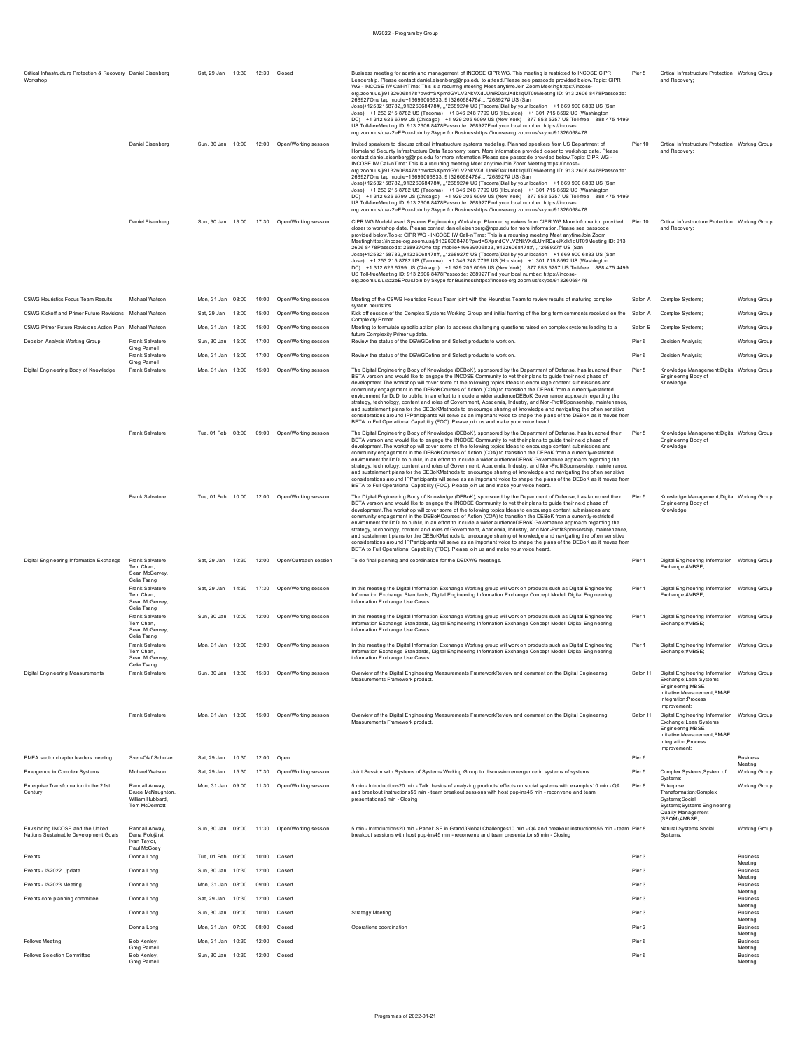| Critical Infrastructure Protection & Recovery Daniel Eisenhero<br>Workshop |                                                                                | Sat. 29 Jan 10:30 12:30 Closed |       |       |                                              | Business meeting for admin and management of INCOSE CIPR WG. This meeting is restricted to INCOSE CIPR<br>Leadership. Please contact daniel.eisenberg@nps.edu to attend.Please see passcode provided below.Topic: CIPR<br>WG - INCOSE IW Call-inTime: This is a recurring meeting Meet anytimeJoin Zoom Meetinghttps://incose-<br>org.zoom.us/j/91326068478?pwd=SXpmdGVLV2NkVXdLUmRDakJXdk1qUT09Meeting ID: 913 2606 8478Passcode:<br>268927One tap mobile+16699006833,,91326068478#,,,,*268927# US (San<br>Jose)+12532158782,,91326068478#,,,,*268927# US (Tacoma)Dial by your location +1 669 900 6833 US (San<br>Jose) +1 253 215 8782 US (Tacoma) +1 346 248 7799 US (Houston) +1 301 715 8592 US (Washington<br>DC) +1 312 626 6799 US (Chicago) +1 929 205 6099 US (New York) 877 853 5257 US Toll-free 888 475 4499<br>US Toll-free Meeting ID: 913 2606 8478 Passcode: 268927 Find your local number: https://incose-<br>org.zoom.us/u/az2eEPcucJoin by Skype for Businesshttps://incose-org.zoom.us/skype/91326068478                                                                                                              | Pier 5  | Critical Infrastructure Protection Working Group<br>and Recovery;                                                                                                   |                                       |
|----------------------------------------------------------------------------|--------------------------------------------------------------------------------|--------------------------------|-------|-------|----------------------------------------------|---------------------------------------------------------------------------------------------------------------------------------------------------------------------------------------------------------------------------------------------------------------------------------------------------------------------------------------------------------------------------------------------------------------------------------------------------------------------------------------------------------------------------------------------------------------------------------------------------------------------------------------------------------------------------------------------------------------------------------------------------------------------------------------------------------------------------------------------------------------------------------------------------------------------------------------------------------------------------------------------------------------------------------------------------------------------------------------------------------------------------------------------|---------|---------------------------------------------------------------------------------------------------------------------------------------------------------------------|---------------------------------------|
|                                                                            | Daniel Eisenberg                                                               |                                |       |       | Sun, 30 Jan 10:00 12:00 Open/Working session | Invited speakers to discuss critical infrastructure systems modeling. Planned speakers from US Department of<br>Homeland Security Infrastructure Data Taxonomy team. More information provided closer to workshop date. Please<br>contact daniel eisenberg@nps.edu for more information.Please see passcode provided below.Topic: CIPR WG -<br>INCOSE IW Call-inTime: This is a recurring meeting Meet anytimeJoin Zoom Meetinghttps://incose-<br>org.zoom.us/j/91326068478?pwd=SXpmdGVLV2NkVXdLUmRDakJXdk1qUT09Meeting ID: 913 2606 8478Passcode:<br>268927One tap mobile+16699006833,,91326068478#,,,,*268927# US (San<br>Jose)+12532158782,,91326068478#,,,,*268927# US (Tacoma)Dial by your location +1 669 900 6833 US (San<br>Jose) +1 253 215 8782 US (Tacoma) +1 346 248 7799 US (Houston) +1 301 715 8592 US (Washington<br>DC) +1 312 626 6799 US (Chicago) +1 929 205 6099 US (New York) 877 853 5257 US Toll-free 888 475 4499<br>US Toll-freeMeeting ID: 913 2606 8478Passcode: 268927Find your local number: https://incose-<br>org.zoom.us/u/az2eEPcucJoin by Skype for Businesshttps://incose-org.zoom.us/skype/91326068478 | Pier 10 | Critical Infrastructure Protection Working Group<br>and Recovery;                                                                                                   |                                       |
|                                                                            | Daniel Eisenberg                                                               |                                |       |       | Sun, 30 Jan 13:00 17:30 Open/Working session | CIPR WG Model-based Systems Engineering Workshop. Planned speakers from CIPR WG More information provided<br>closer to workshop date. Please contact daniel.eisenberg@nps.edu for more information.Please see passcode<br>provided below. Topic: CIPR WG - INCOSE IW Call-inTime: This is a recurring meeting Meet anytime Join Zoom<br>Meetinghttps://incose-org.zoom.us/j/91326068478?pwd=SXpmdGVLV2NkVXdLUmRDakJXdk1qUT09Meeting ID: 913<br>2606 8478Passcode: 268927One tap mobile+16699006833,,91326068478#,,,,*268927# US (San<br>Jose)+12532158782,,91326068478#,,,,*268927# US (Tacoma)Dial by your location +1 669 900 6833 US (San<br>Jose) +1 253 215 8782 US (Tacoma) +1 346 248 7799 US (Houston) +1 301 715 8592 US (Washington<br>DC) +1 312 626 6799 US (Chicago) +1 929 205 6099 US (New York) 877 853 5257 US Toll-free 888 475 4499<br>US Toll-free Meeting ID: 913 2606 8478 Passcode: 268927 Find your local number: https://incose-<br>org.zoom.us/u/az2eEPcucJoin by Skype for Businesshttps://incose-org.zoom.us/skype/91326068478                                                                                  | Pier 10 | Critical Infrastructure Protection Working Group<br>and Recovery;                                                                                                   |                                       |
| CSWG Heuristics Focus Team Results                                         | Michael Watson                                                                 | Mon, 31 Jan 08:00              |       | 10:00 | Open/Working session                         | Meeting of the CSWG Heuristics Focus Team joint with the Heuristics Team to review results of maturing complex                                                                                                                                                                                                                                                                                                                                                                                                                                                                                                                                                                                                                                                                                                                                                                                                                                                                                                                                                                                                                              | Salon A | Complex Systems;                                                                                                                                                    | <b>Working Group</b>                  |
| CSWG Kickoff and Primer Future Revisions Michael Watson                    |                                                                                | Sat, 29 Jan                    | 13:00 | 15:00 | Open/Working session                         | system heuristics<br>Kick off session of the Complex Systems Working Group and initial framing of the long term comments received on the                                                                                                                                                                                                                                                                                                                                                                                                                                                                                                                                                                                                                                                                                                                                                                                                                                                                                                                                                                                                    | Salon A | Complex Systems                                                                                                                                                     | <b>Working Group</b>                  |
|                                                                            |                                                                                |                                |       |       |                                              | Complexity Primer                                                                                                                                                                                                                                                                                                                                                                                                                                                                                                                                                                                                                                                                                                                                                                                                                                                                                                                                                                                                                                                                                                                           |         |                                                                                                                                                                     |                                       |
| CSWG Primer Future Revisions Action Plan Michael Watson                    |                                                                                | Mon, 31 Jan 13:00              |       | 15:00 | Open/Working session                         | Meeting to formulate specific action plan to address challenging questions raised on complex systems leading to a<br>future Complexity Primer update.                                                                                                                                                                                                                                                                                                                                                                                                                                                                                                                                                                                                                                                                                                                                                                                                                                                                                                                                                                                       | Salon B | Complex Systems;                                                                                                                                                    | <b>Working Group</b>                  |
| Decision Analysis Working Group                                            | Frank Salvatore.<br>Grea Pamell                                                | Sun, 30 Jan 15:00              |       | 17:00 | Open/Working session                         | Review the status of the DEWGDefine and Select products to work on.                                                                                                                                                                                                                                                                                                                                                                                                                                                                                                                                                                                                                                                                                                                                                                                                                                                                                                                                                                                                                                                                         | Pier 6  | Decision Analysis;                                                                                                                                                  | <b>Working Group</b>                  |
|                                                                            | Frank Salvatore,                                                               | Mon, 31 Jan                    | 15:00 | 17:00 | Open/Working session                         | Review the status of the DEWGDefine and Select products to work on.                                                                                                                                                                                                                                                                                                                                                                                                                                                                                                                                                                                                                                                                                                                                                                                                                                                                                                                                                                                                                                                                         | Pier 6  | Decision Analysis;                                                                                                                                                  | Working Group                         |
| Digital Engineering Body of Knowledge                                      | Greg Pamell<br>Frank Salvatore                                                 | Mon. 31 Jan 13:00              |       | 15:00 | Open/Working session                         | The Digital Engineering Body of Knowledge (DEBoK), sponsored by the Department of Defense, has launched their<br>BETA version and would like to engage the INCOSE Community to vet their plans to guide their next phase of<br>development. The workshop will cover some of the following topics: Ideas to encourage content submissions and<br>community engagement in the DEBoKCourses of Action (COA) to transition the DEBoK from a currently-restricted<br>environment for DoD, to public, in an effort to include a wider audienceDEBoK Governance approach regarding the<br>strategy, technology, content and roles of Government, Academia, Industry, and Non-ProfitSponsorship, maintenance,<br>and sustainment plans for the DEBoKMethods to encourage sharing of knowledge and navigating the often sensitive<br>considerations around IPParticipants will serve as an important voice to shape the plans of the DEBoK as it moves from<br>BETA to Full Operational Capability (FOC). Please join us and make your voice heard.                                                                                                  | Pier 5  | Knowledge Management; Digital Working Group<br>Engineering Body of<br>Knowledge                                                                                     |                                       |
|                                                                            | Frank Salvatore                                                                | Tue, 01 Feb 08:00              |       |       | 09:00 Open/Working session                   | The Digital Engineering Body of Knowledge (DEBoK), sponsored by the Department of Defense, has launched their<br>BETA version and would like to engage the INCOSE Community to vet their plans to guide their next phase of<br>development. The workshop will cover some of the following topics: Ideas to encourage content submissions and<br>community engagement in the DEBoKCourses of Action (COA) to transition the DEBoK from a currently-restricted<br>environment for DoD, to public, in an effort to include a wider audienceDEBoK Governance approach regarding the<br>strategy, technology, content and roles of Government, Academia, Industry, and Non-ProfitSponsorship, maintenance,<br>and sustainment plans for the DEBoKMethods to encourage sharing of knowledge and navigating the often sensitive<br>considerations around IPParticipants will serve as an important voice to shape the plans of the DEBoK as it moves from<br>BETA to Full Operational Capability (FOC). Please join us and make your voice heard.                                                                                                  | Pier 5  | Knowledge Management; Digital Working Group<br>Engineering Body of<br>Knowledge                                                                                     |                                       |
|                                                                            | Frank Salvatore                                                                | Tue, 01 Feb 10:00              |       |       | 12:00 Open/Working session                   | The Digital Engineering Body of Knowledge (DEBoK), sponsored by the Department of Defense, has launched their<br>BETA version and would like to engage the INCOSE Community to vet their plans to guide their next phase of<br>development. The workshop will cover some of the following topics: Ideas to encourage content submissions and<br>community engagement in the DEBoKCourses of Action (COA) to transition the DEBoK from a currently-restricted<br>environment for DoD, to public, in an effort to include a wider audienceDEBoK Governance approach regarding the<br>strategy, technology, content and roles of Government, Academia, Industry, and Non-ProfitSponsorship, maintenance,<br>and sustainment plans for the DEBoKMethods to encourage sharing of knowledge and navigating the often sensitive<br>considerations around IPParticipants will serve as an important voice to shape the plans of the DEBoK as it moves from<br>BETA to Full Operational Capability (FOC). Please join us and make your voice heard.                                                                                                  | Pier 5  | Knowledge Management; Digital Working Group<br>Engineering Body of<br>Knowledge                                                                                     |                                       |
| Digital Engineering Information Exchange                                   | Frank Salvatore<br>Terri Chan.<br>Sean McGervey,<br>Celia Tsang                | Sat. 29 Jan                    | 10:30 |       | 12:00 Open/Outreach session                  | To do final planning and coordination for the DEIXWG meetings                                                                                                                                                                                                                                                                                                                                                                                                                                                                                                                                                                                                                                                                                                                                                                                                                                                                                                                                                                                                                                                                               | Pier 1  | Digital Engineering Information Working Group<br>Exchange:#MBSE:                                                                                                    |                                       |
|                                                                            | Frank Salvatore,<br>Terri Chan<br>Sean McGervey,<br>Celia Tsang                | Sat 29 Jan                     | 14:30 |       | 17:30 Open/Working session                   | In this meeting the Digital Information Exchange Working group will work on products such as Digital Engineering<br>Information Exchange Standards, Digital Engineering Information Exchange Concept Model, Digital Engineering<br>information Exchange Use Cases                                                                                                                                                                                                                                                                                                                                                                                                                                                                                                                                                                                                                                                                                                                                                                                                                                                                           | Pier 1  | Digital Engineering Information  Working Group<br>Exchange;#MBSE;                                                                                                   |                                       |
|                                                                            | Frank Salvatore<br>Terri Chan,<br>Sean McGervey,<br>Celia Tsang                | Sun. 30 Jan 10:00              |       |       | 12:00 Open/Working session                   | In this meeting the Digital Information Exchange Working group will work on products such as Digital Engineering<br>Information Exchange Standards, Digital Engineering Information Exchange Concept Model, Digital Engineering<br>information Exchange Use Cases                                                                                                                                                                                                                                                                                                                                                                                                                                                                                                                                                                                                                                                                                                                                                                                                                                                                           | Pier 1  | Digital Engineering Information  Working Group<br>Exchange;#MBSE;                                                                                                   |                                       |
|                                                                            | Frank Salvatore<br>Terri Chan<br>Sean McGervev<br>Celia Tsang                  |                                |       |       | Mon, 31 Jan 10:00 12:00 Open/Working session | In this meeting the Digital Information Exchange Working group will work on products such as Digital Engineering<br>Information Exchange Standards, Digital Engineering Information Exchange Concept Model, Digital Engineering<br>information Exchange Use Cases                                                                                                                                                                                                                                                                                                                                                                                                                                                                                                                                                                                                                                                                                                                                                                                                                                                                           | Pier 1  | Digital Engineering Information  Working Group<br>Exchange;#MBSE;                                                                                                   |                                       |
| Digital Engineering Measurements                                           | Frank Salvatore                                                                | Sun, 30 Jan                    | 13:30 |       | 15:30 Open/Working session                   | Overview of the Digital Engineering Measurements FrameworkReview and comment on the Digital Engineering<br>Measurements Framework product.                                                                                                                                                                                                                                                                                                                                                                                                                                                                                                                                                                                                                                                                                                                                                                                                                                                                                                                                                                                                  | Salon H | Digital Engineering Information Working Group<br>Exchange;Lean Systems<br>Engineering:MBSE<br>Initiative: Measurement: PM-SE<br>Integration;Process<br>Improvement: |                                       |
|                                                                            | <b>Frank Salvatore</b>                                                         | Mon, 31 Jan 13:00              |       |       | 15:00 Open/Working session                   | Overview of the Digital Engineering Measurements FrameworkReview and comment on the Digital Engineering<br>Measurements Framework product                                                                                                                                                                                                                                                                                                                                                                                                                                                                                                                                                                                                                                                                                                                                                                                                                                                                                                                                                                                                   | Salon H | Digital Engineering Information Working Group<br>Exchange:Lean Systems<br>Engineering; MBSE<br>Initiative; Measurement; PM-SE<br>Integration:Process                |                                       |
| EMEA sector chapter leaders meeting                                        | Sven-Olaf Schulze                                                              | Sat. 29 Jan                    | 10:30 | 12:00 | Open                                         |                                                                                                                                                                                                                                                                                                                                                                                                                                                                                                                                                                                                                                                                                                                                                                                                                                                                                                                                                                                                                                                                                                                                             | Pier 6  | Improvement;                                                                                                                                                        | <b>Business</b>                       |
| Emergence in Complex Systems                                               | Michael Watson                                                                 | Sat. 29 Jan                    | 15:30 | 17:30 | Open/Working session                         | Joint Session with Systems of Systems Working Group to discussion emergence in systems of systems.                                                                                                                                                                                                                                                                                                                                                                                                                                                                                                                                                                                                                                                                                                                                                                                                                                                                                                                                                                                                                                          | Pier 5  | Complex Systems; System of                                                                                                                                          | Meeting<br>Working Group              |
|                                                                            |                                                                                |                                |       |       |                                              |                                                                                                                                                                                                                                                                                                                                                                                                                                                                                                                                                                                                                                                                                                                                                                                                                                                                                                                                                                                                                                                                                                                                             |         | Systems;                                                                                                                                                            |                                       |
| Enterprise Transformation in the 21st<br>Century                           | Randall Anway,<br><b>Bruce McNaughton</b><br>William Hubbard,<br>Tom McDermott | Mon. 31 Jan 09:00              |       |       | 11:30 Open/Working session                   | 5 min - Introductions20 min - Talk: basics of analyzing products' effects on social systems with examples10 min - QA<br>and breakout instructions55 min - team breakout sessions with host pop-ins45 min - reconvene and team<br>presentations5 min - Closing                                                                                                                                                                                                                                                                                                                                                                                                                                                                                                                                                                                                                                                                                                                                                                                                                                                                               | Pier 8  | Enterprise<br>Transformation;Complex<br>Systems; Social<br>Systems; Systems Engineering<br>Quality Management<br>(SEQM);#MBSE;                                      | <b>Working Group</b>                  |
| Envisioning INCOSE and the United<br>Nations Sustainable Development Goals | Randall Anway,<br>Dana Polojärvi,<br>Ivan Taylor.<br>Paul McGoey               | Sun, 30 Jan 09:00              |       |       | 11:30 Open/Working session                   | 5 min - Introductions20 min - Panel: SE in Grand/Global Challenges10 min - QA and breakout instructions55 min - team Pier 8<br>breakout sessions with host pop-ins45 min - reconvene and team presentations5 min - Closing                                                                                                                                                                                                                                                                                                                                                                                                                                                                                                                                                                                                                                                                                                                                                                                                                                                                                                                  |         | Natural Systems; Social<br>Systems;                                                                                                                                 | Working Group                         |
| Events                                                                     | Donna Long                                                                     | Tue, 01 Feb                    | 09:00 | 10:00 | Closed                                       |                                                                                                                                                                                                                                                                                                                                                                                                                                                                                                                                                                                                                                                                                                                                                                                                                                                                                                                                                                                                                                                                                                                                             | Pier 3  |                                                                                                                                                                     | <b>Business</b><br>Meeting            |
| Events - IS2022 Update                                                     | Donna Long                                                                     | Sun, 30 Jan 10:30              |       | 12:00 | Closed                                       |                                                                                                                                                                                                                                                                                                                                                                                                                                                                                                                                                                                                                                                                                                                                                                                                                                                                                                                                                                                                                                                                                                                                             | Pier 3  |                                                                                                                                                                     | <b>Business</b>                       |
| Events - IS2023 Meeting                                                    | Donna Long                                                                     | Mon, 31 Jan 08:00              |       | 09:00 | Closed                                       |                                                                                                                                                                                                                                                                                                                                                                                                                                                                                                                                                                                                                                                                                                                                                                                                                                                                                                                                                                                                                                                                                                                                             | Pier 3  |                                                                                                                                                                     | Meeting<br><b>Business</b>            |
| Events core planning committee                                             | Donna Long                                                                     | Sat. 29 Jan                    | 10:30 | 12:00 | Closed                                       |                                                                                                                                                                                                                                                                                                                                                                                                                                                                                                                                                                                                                                                                                                                                                                                                                                                                                                                                                                                                                                                                                                                                             | Pier 3  |                                                                                                                                                                     | Meeting<br><b>Business</b>            |
|                                                                            |                                                                                |                                |       |       |                                              |                                                                                                                                                                                                                                                                                                                                                                                                                                                                                                                                                                                                                                                                                                                                                                                                                                                                                                                                                                                                                                                                                                                                             |         |                                                                                                                                                                     | Meeting                               |
|                                                                            | Donna Long                                                                     | Sun, 30 Jan                    | 09:00 | 10:00 | Closed                                       | <b>Strategy Meeting</b>                                                                                                                                                                                                                                                                                                                                                                                                                                                                                                                                                                                                                                                                                                                                                                                                                                                                                                                                                                                                                                                                                                                     | Pier 3  |                                                                                                                                                                     | <b>Business</b><br>Meeting            |
|                                                                            | Donna Long                                                                     | Mon, 31 Jan                    | 07:00 | 08:00 | Closed                                       | Operations coordination                                                                                                                                                                                                                                                                                                                                                                                                                                                                                                                                                                                                                                                                                                                                                                                                                                                                                                                                                                                                                                                                                                                     | Pier 3  |                                                                                                                                                                     | <b>Business</b>                       |
| <b>Fellows Meeting</b>                                                     | Bob Kenley,                                                                    | Mon, 31 Jan 10:30              |       | 12:00 | Closed                                       |                                                                                                                                                                                                                                                                                                                                                                                                                                                                                                                                                                                                                                                                                                                                                                                                                                                                                                                                                                                                                                                                                                                                             | Pier 6  |                                                                                                                                                                     | Meeting<br><b>Business</b>            |
| <b>Fellows Selection Committee</b>                                         | Greg Pamel<br>Bob Kenley,<br>Greg Pamell                                       | Sun, 30 Jan 10:30              |       |       | 12:00 Closed                                 |                                                                                                                                                                                                                                                                                                                                                                                                                                                                                                                                                                                                                                                                                                                                                                                                                                                                                                                                                                                                                                                                                                                                             | Pier 6  |                                                                                                                                                                     | Meeting<br><b>Business</b><br>Meeting |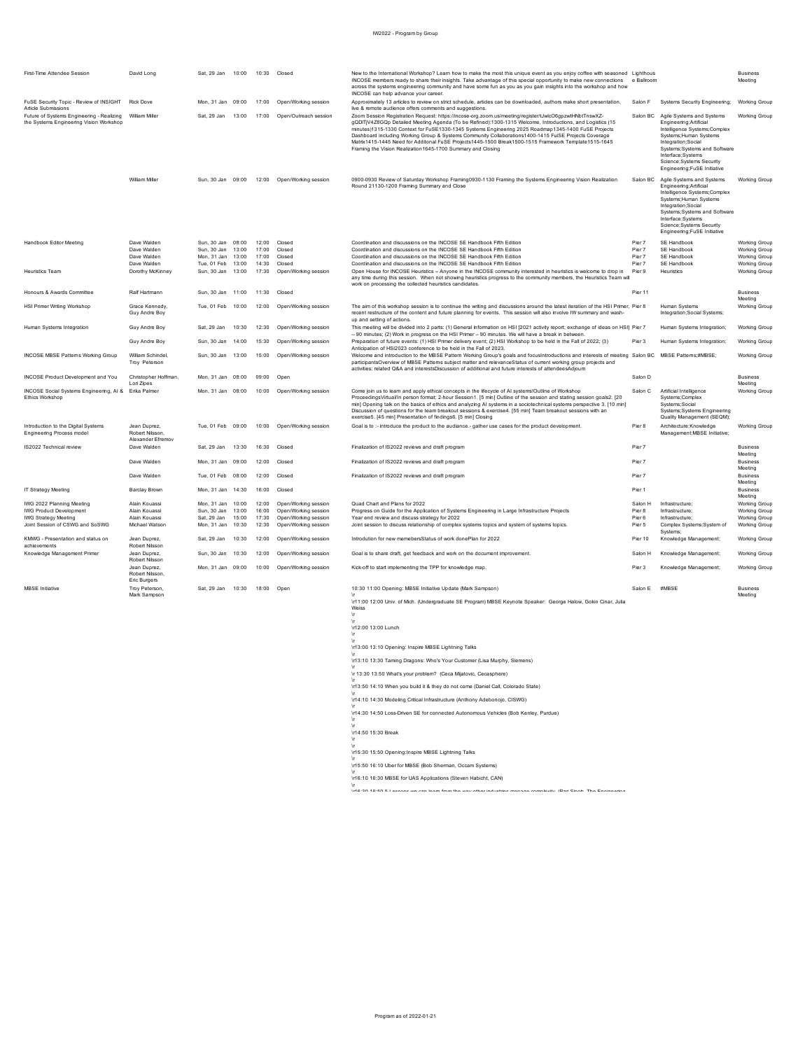| <b>First-Time Attendee Session</b>                                                   | David Long                                          | Sat 29 Jan 10:00  |       | 10:30 Closed |                                              | New to the International Workshop? Learn how to make the most this unique event as you enjoy coffee with seasoned Lighthous<br>INCOSE members ready to share their insights. Take advantage of this special opportunity to make new connections e Ballroom<br>across the systems engineering community and have some fun as you as you gain insights into the workshop and how<br>INCOSE can help advance your career.                                                                                                                                                                                      |          |                                                                                                                                                                                                                                                         | <b>Business</b><br>Meeting            |
|--------------------------------------------------------------------------------------|-----------------------------------------------------|-------------------|-------|--------------|----------------------------------------------|-------------------------------------------------------------------------------------------------------------------------------------------------------------------------------------------------------------------------------------------------------------------------------------------------------------------------------------------------------------------------------------------------------------------------------------------------------------------------------------------------------------------------------------------------------------------------------------------------------------|----------|---------------------------------------------------------------------------------------------------------------------------------------------------------------------------------------------------------------------------------------------------------|---------------------------------------|
| FuSE Security Topic - Review of INSIGHT<br>Article Submissions                       | <b>Rick Dove</b>                                    | Mon. 31 Jan 09:00 |       | 17:00        | Open/Working session                         | Approximately 13 articles to review on strict schedule, articles can be downloaded, authors make short presentation,<br>live & remote audience offers comments and suggestions.                                                                                                                                                                                                                                                                                                                                                                                                                             | Salon F  | Systems Security Engineering:                                                                                                                                                                                                                           | <b>Working Group</b>                  |
| Future of Systems Engineering - Realizing<br>the Systems Engineering Vision Workshop | William Miller                                      | Sat. 29 Jan       | 13:00 |              | 17:00 Open/Outreach session                  | Zoom Session Registration Request: https://incose-org.zoom.us/meeting/register/tJwlcO6gpzwtHNbtTnswXZ-<br>gQDITjV4Z8GQp Detailed Meeting Agenda (To be Refined):1300-1315 Welcome, Introductions, and Logistics (15<br>minutes)1315-1330 Context for FuSE1330-1345 Systems Engineering 2025 Roadmap1345-1400 FuSE Projects<br>Dashboard including Working Group & Systems Community Collaborations1400-1415 FuiSE Projects Coverage<br>Matrix1415-1445 Need for Additonal FuSE Projects1445-1500 Break1500-1515 Framework Template1515-1645<br>Framing the Vision Realization 1645-1700 Summary and Closing | Salon BC | Agile Systems and Systems<br>Engineering: Artificial<br>Intelligence Systems:Complex<br>Systems; Human Systems<br>Integration;Social<br>Systems: Systems and Software<br>Interface;Systems<br>Science; Systems Security<br>Engineering; FuSE Initiative | Working Group                         |
|                                                                                      | William Miller                                      |                   |       |              | Sun, 30 Jan 09:00 12:00 Open/Working session | 0900-0930 Review of Saturday Workshop Framing0930-1130 Framing the Systems Engineering Vision Realization<br>Round 21130-1200 Framing Summary and Close                                                                                                                                                                                                                                                                                                                                                                                                                                                     | Salon BC | Agile Systems and Systems<br>Engineering: Artificial<br>Intelligence Systems;Complex<br>Systems; Human Systems<br>Integration;Social<br>Systems: Systems and Software<br>Interface;Systems<br>Science; Systems Security<br>Engineering;FuSE Initiative  | <b>Working Group</b>                  |
| Handbook Editor Meeting                                                              | Dave Walden                                         | Sun, 30 Jan 08:00 |       | 12:00        | Closed                                       | Coordination and discussions on the INCOSE SE Handbook Fifth Edition                                                                                                                                                                                                                                                                                                                                                                                                                                                                                                                                        | Pier 7   | SE Handbook                                                                                                                                                                                                                                             | <b>Working Group</b>                  |
|                                                                                      | Dave Walden                                         | Sun, 30 Jan 13:00 |       | 17:00        | Closed                                       | Coordination and discussions on the INCOSE SE Handbook Fifth Edition                                                                                                                                                                                                                                                                                                                                                                                                                                                                                                                                        | Pier 7   | SE Handbook                                                                                                                                                                                                                                             | Working Group                         |
|                                                                                      | Dave Walden                                         | Mon. 31 Jan       | 13:00 | 17:00        | Closed                                       | Coordination and discussions on the INCOSE SE Handbook Fifth Edition                                                                                                                                                                                                                                                                                                                                                                                                                                                                                                                                        | Pier 7   | SE Handbook                                                                                                                                                                                                                                             | Working Group                         |
|                                                                                      | Dave Walden                                         | Tue. 01 Feb 13:00 |       | 14:30        | Closed                                       | Coordination and discussions on the INCOSE SE Handbook Fifth Edition                                                                                                                                                                                                                                                                                                                                                                                                                                                                                                                                        | Pier 7   | SF Handbook                                                                                                                                                                                                                                             | <b>Working Group</b>                  |
| <b>Heuristics Team</b>                                                               | Dorothy McKinney                                    | Sun, 30 Jan 13:00 |       | 17:30        | Open/Working session                         | Open House for INCOSE Heuristics -- Anyone in the INCOSE community interested in heuristics is welcome to drop in<br>any time during this session. When not showing heuristics progress to the community members, the Heuristics Team will                                                                                                                                                                                                                                                                                                                                                                  | Pier 9   | Heuristics                                                                                                                                                                                                                                              | Working Group                         |
|                                                                                      |                                                     |                   |       |              |                                              | work on processing the collected heuristics candidates.                                                                                                                                                                                                                                                                                                                                                                                                                                                                                                                                                     |          |                                                                                                                                                                                                                                                         |                                       |
| Honours & Awards Committee                                                           | Ralf Hartmann                                       | Sun, 30 Jan 11:00 |       | 11:30        | Closed                                       |                                                                                                                                                                                                                                                                                                                                                                                                                                                                                                                                                                                                             | Pier 11  |                                                                                                                                                                                                                                                         | <b>Business</b><br>Meeting            |
| <b>HSI Primer Writing Workshop</b>                                                   | Grace Kennedy.<br>Guy Andre Boy                     | Tue. 01 Feb 10:00 |       | 12:00        | Open/Working session                         | The aim of this workshop session is to continue the writing and discussions around the latest iteration of the HSI Primer. Pier 8<br>recent restructure of the content and future planning for events. This session will also involve IW summary and wash-<br>up and setting of actions.                                                                                                                                                                                                                                                                                                                    |          | Human Systems<br>Integration; Social Systems;                                                                                                                                                                                                           | <b>Working Group</b>                  |
| Human Systems Integration                                                            | Guy Andre Boy                                       | Sat, 29 Jan       | 10:30 | 12:30        | Open/Working session                         | This meeting will be divided into 2 parts: (1) General information on HSI [2021 activity report; exchange of ideas on HSI] Pier 7<br>-- 90 minutes; (2) Work in progress on the HSI Primer -- 90 minutes. We will have a break in between.                                                                                                                                                                                                                                                                                                                                                                  |          | Human Systems Integration;                                                                                                                                                                                                                              | <b>Working Group</b>                  |
|                                                                                      | Guy Andre Boy                                       | Sun, 30 Jan       | 14:00 | 15:30        | Open/Working session                         | Preparation of future events: (1) HSI Primer delivery event; (2) HSI Workshop to be held in the Fall of 2022; (3)<br>Anticipation of HSI2023 conference to be held in the Fall of 2023.                                                                                                                                                                                                                                                                                                                                                                                                                     | Pier 3   | Human Systems Integration;                                                                                                                                                                                                                              | Working Group                         |
| INCOSE MBSE Patterns Working Group                                                   | William Schindel<br>Troy Peterson                   | Sun 30 Jan 13:00  |       | 15:00        | Open/Working session                         | Welcome and introduction to the MBSE Pattern Working Group's goals and focusIntroductions and interests of meeting Salon BC MBSE Patterns;#MBSE;<br>participantsOverview of MBSE Patterns subject matter and relevanceStatus of current working group projects and<br>activities; related Q&A and interestsDiscussion of additional and future interests of attendeesAdjourn                                                                                                                                                                                                                                |          |                                                                                                                                                                                                                                                         | <b>Working Group</b>                  |
| <b>INCOSE Product Development and You</b>                                            |                                                     |                   |       | 09:00        | Open                                         |                                                                                                                                                                                                                                                                                                                                                                                                                                                                                                                                                                                                             | Salon D  |                                                                                                                                                                                                                                                         | <b>Business</b>                       |
|                                                                                      | Christopher Hoffman.                                | Mon. 31 Jan 08:00 |       |              |                                              |                                                                                                                                                                                                                                                                                                                                                                                                                                                                                                                                                                                                             |          |                                                                                                                                                                                                                                                         |                                       |
| INCOSE Social Systems Engineering, AI &<br>Ethics Workshop                           | Lori Zipes<br>Erika Palmer                          | Mon, 31 Jan 08:00 |       | 10:00        | Open/Working session                         | Come join us to learn and apply ethical concepts in the lifecycle of AI systems!Outline of Workshop<br>ProceedingsVirtual/In person format; 2-hour Session1. [5 min] Outline of the session and stating session goals2. [20<br>min] Opening talk on the basics of ethics and analyzing AI systems in a sociotechnical systems perspective 3. [10 min]<br>Discussion of questions for the team breakout sessions & exercise4. [55 min] Team breakout sessions with ar                                                                                                                                        | Salon C  | Artificial Intelligence<br>Systems;Complex<br>Systems:Social<br>Systems; Systems Engineering                                                                                                                                                            | Meeting<br><b>Working Group</b>       |
| Introduction to the Digital Systems<br>Engineering Process model                     | Jean Duprez.<br>Robert Nilsson<br>Alexander Efremov | Tue. 01 Feb 09:00 |       | 10:00        | Open/Working session                         | exercise5. [45 min] Presentation of findings6. [5 min] Closing<br>Goal is to :- introduce the product to the audiance.- gather use cases for the product development.                                                                                                                                                                                                                                                                                                                                                                                                                                       | Pier 8   | Quality Management (SEQM);<br>Architecture; Knowledge<br>Management; MBSE Initiative;                                                                                                                                                                   | <b>Working Group</b>                  |
| IS2022 Technical review                                                              | Dave Walden                                         | Sat 29 Jan        | 13:30 | 16:30        | Closed                                       | Finalization of IS2022 reviews and draft program                                                                                                                                                                                                                                                                                                                                                                                                                                                                                                                                                            | Pier 7   |                                                                                                                                                                                                                                                         | <b>Business</b>                       |
|                                                                                      | Dave Walden                                         | Mon. 31 Jan 09:00 |       | 12:00        | Closed                                       | Finalization of IS2022 reviews and draft program                                                                                                                                                                                                                                                                                                                                                                                                                                                                                                                                                            | Pier 7   |                                                                                                                                                                                                                                                         | Meeting<br><b>Business</b><br>Meeting |
|                                                                                      | Dave Walden                                         | Tue. 01 Feb 08:00 |       | 12:00        | Closed                                       | Finalization of IS2022 reviews and draft program                                                                                                                                                                                                                                                                                                                                                                                                                                                                                                                                                            | Pier 7   |                                                                                                                                                                                                                                                         | <b>Business</b><br>Meeting            |
| IT Strategy Meeting                                                                  | <b>Barclay Brown</b>                                | Mon, 31 Jan       | 14:30 | 16:00        | Closed                                       |                                                                                                                                                                                                                                                                                                                                                                                                                                                                                                                                                                                                             | Pier 1   |                                                                                                                                                                                                                                                         | <b>Business</b><br>Meeting            |
| IWG 2022 Planning Meeting                                                            | Alain Kouassi                                       | Mon. 31 Jan 10:00 |       | 12:00        | Open/Working session                         | Quad Chart and Plans for 2022                                                                                                                                                                                                                                                                                                                                                                                                                                                                                                                                                                               | Salon H  | Infrastructure:                                                                                                                                                                                                                                         | <b>Working Group</b>                  |
| <b>IWG Product Development</b>                                                       | Alain Kouassi                                       | Sun. 30 Jan 13:00 |       | 16:00        | Open/Working session                         |                                                                                                                                                                                                                                                                                                                                                                                                                                                                                                                                                                                                             | Pier 8   | Infrastructure:                                                                                                                                                                                                                                         |                                       |
| <b>IWG Strategy Meeting</b>                                                          | Alain Kouassi                                       | Sat. 29 Jan       | 15:00 | 17:30        | Open/Working session                         | Progress on Guide for the Application of Systems Engineering in Large Infrastructure Projects<br>Year end review and discuss strategy for 2022                                                                                                                                                                                                                                                                                                                                                                                                                                                              | Pier 6   | Infrastructure:                                                                                                                                                                                                                                         | Working Group<br><b>Working Group</b> |
| Joint Session of CSWG and SoSWG                                                      | Michael Watson                                      | Mon. 31 Jan       | 10:30 | 12:30        | Open/Working session                         | Joint session to discuss relationship of complex systems topics and system of systems topics.                                                                                                                                                                                                                                                                                                                                                                                                                                                                                                               | Pier 5   | Complex Systems; System of                                                                                                                                                                                                                              | <b>Working Group</b>                  |
| KMWG - Presentation and status on                                                    | Jean Duprez.                                        | Sat. 29 Jan       | 10:30 | 12:00        | Open/Working session                         | Introdution for new memebersStatus of work donePlan for 2022                                                                                                                                                                                                                                                                                                                                                                                                                                                                                                                                                | Pier 10  | Systems;<br>Knowledge Management:                                                                                                                                                                                                                       | <b>Working Group</b>                  |
| achievements<br>Knowledge Management Primer                                          | Robert Nilsson<br>Jean Duprez.                      | Sun. 30 Jan 10:30 |       | 12:00        | Open/Working session                         | Goal is to share draft, get feedback and work on the document improvement.                                                                                                                                                                                                                                                                                                                                                                                                                                                                                                                                  | Salon H  | Knowledge Management;                                                                                                                                                                                                                                   | <b>Working Group</b>                  |
|                                                                                      | Robert Nilsson                                      |                   |       |              |                                              |                                                                                                                                                                                                                                                                                                                                                                                                                                                                                                                                                                                                             |          |                                                                                                                                                                                                                                                         |                                       |
|                                                                                      | Jean Duprez.<br>Robert Nilsson.<br>Eric Burgers     | Mon, 31 Jan 09:00 |       | 10:00        | Open/Working session                         | Kick-off to start implementing the TPP for knowledge map.                                                                                                                                                                                                                                                                                                                                                                                                                                                                                                                                                   | Pier 3   | Knowledge Management;                                                                                                                                                                                                                                   | Working Group                         |
| <b>MBSF</b> Initiative                                                               | Trov Peterson.<br>Mark Sampson                      | Sat 29 Jan        | 10:30 | 18:00        | Onen                                         | 10:30 11:00 Opening: MBSE Initiative Update (Mark Sampson)                                                                                                                                                                                                                                                                                                                                                                                                                                                                                                                                                  | Salon E  | #MBSE                                                                                                                                                                                                                                                   | <b>Business</b>                       |
|                                                                                      |                                                     |                   |       |              |                                              | \r11:00 12:00 Univ. of Mich. (Undergraduate SE Program) MBSE Keynote Speaker: George Halow, Gokin Cinar, Julia<br>Weiss                                                                                                                                                                                                                                                                                                                                                                                                                                                                                     |          |                                                                                                                                                                                                                                                         | Meeting                               |
|                                                                                      |                                                     |                   |       |              |                                              |                                                                                                                                                                                                                                                                                                                                                                                                                                                                                                                                                                                                             |          |                                                                                                                                                                                                                                                         |                                       |
|                                                                                      |                                                     |                   |       |              |                                              | \r12:00 13:00 Lunch                                                                                                                                                                                                                                                                                                                                                                                                                                                                                                                                                                                         |          |                                                                                                                                                                                                                                                         |                                       |
|                                                                                      |                                                     |                   |       |              |                                              | \r13:00 13:10 Opening: Inspire MBSE Lightning Talks                                                                                                                                                                                                                                                                                                                                                                                                                                                                                                                                                         |          |                                                                                                                                                                                                                                                         |                                       |
|                                                                                      |                                                     |                   |       |              |                                              |                                                                                                                                                                                                                                                                                                                                                                                                                                                                                                                                                                                                             |          |                                                                                                                                                                                                                                                         |                                       |
|                                                                                      |                                                     |                   |       |              |                                              | \r13:10 13:30 Taming Dragons: Who's Your Customer (Lisa Murphy, Siemens)<br>\r 13:30 13:50 What's your problem? (Ceca Mijatovic, Cecasphere)                                                                                                                                                                                                                                                                                                                                                                                                                                                                |          |                                                                                                                                                                                                                                                         |                                       |

tr 13:30 13:50 What's your problem? (Ceca Mijatovic, Cecasphere)<br>\r<br>\r<br>\r<br>\r 4.10 14:10 When you build it & they do not come (Daniel Call, Colorado State)<br>\r<br>\r 4.<br>\r 4.00 14:50 Loss-Driven SE for connected Autonomous Veh

\r \r14:50 15:30 Break

\r<br>\r<br>\r15:30 15:50 Opening:Inspire MBSE Lightning Talks<br>\r15:50 16:10 Uber for MBSE (Bob Sherman, Occam Systems)<br>\r

(r16:10 16:30 MBSE for UAS Applications (Steven Habicht, CAN)<br>\r<br>\r16:30 16:50 5 Lessons we can learn from the way other industries manage complexity (Pari Singh, The Engineering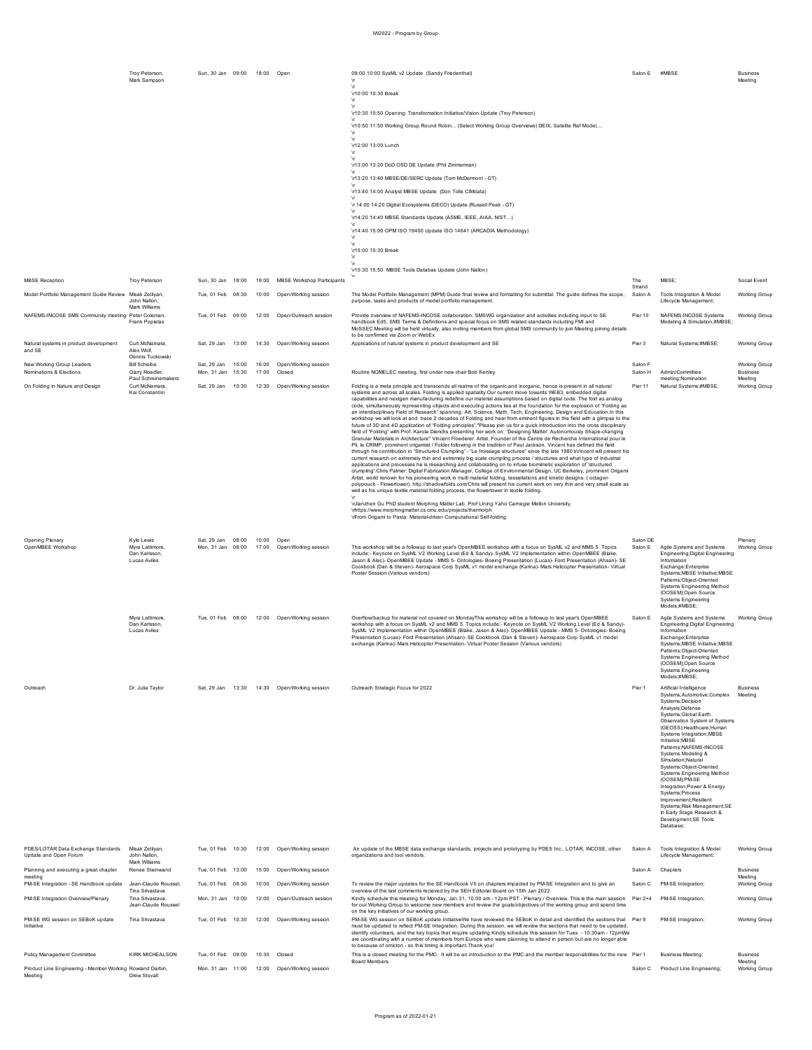|                                                             | Troy Peterson,<br>Mark Sampson                                 | Sun, 30 Jan 09:00 18:00 Open           |                |                                              | 09:00 10:00 SysML v2 Update (Sandy Friedenthal)<br>$\sqrt{ }$                                                                                                                                                                                                                                                                                                                                                                                                                                                                                                                                                                                                                                                                                                                                                                                                                                                                                                                                                                                                                                                                                                                                                                                                                                                                                                                                                                                                                                                                                                                                                                                                                                                                                                                                                                                                                                                                                                                                                                                                                                                                                                                                                                                                                                                                                    | Salon E #MBSE       |                                                                                                                                                                                                                                                                                                                                                                                                                                                                                                                                                                               | <b>Business</b><br>Meeting                  |
|-------------------------------------------------------------|----------------------------------------------------------------|----------------------------------------|----------------|----------------------------------------------|--------------------------------------------------------------------------------------------------------------------------------------------------------------------------------------------------------------------------------------------------------------------------------------------------------------------------------------------------------------------------------------------------------------------------------------------------------------------------------------------------------------------------------------------------------------------------------------------------------------------------------------------------------------------------------------------------------------------------------------------------------------------------------------------------------------------------------------------------------------------------------------------------------------------------------------------------------------------------------------------------------------------------------------------------------------------------------------------------------------------------------------------------------------------------------------------------------------------------------------------------------------------------------------------------------------------------------------------------------------------------------------------------------------------------------------------------------------------------------------------------------------------------------------------------------------------------------------------------------------------------------------------------------------------------------------------------------------------------------------------------------------------------------------------------------------------------------------------------------------------------------------------------------------------------------------------------------------------------------------------------------------------------------------------------------------------------------------------------------------------------------------------------------------------------------------------------------------------------------------------------------------------------------------------------------------------------------------------------|---------------------|-------------------------------------------------------------------------------------------------------------------------------------------------------------------------------------------------------------------------------------------------------------------------------------------------------------------------------------------------------------------------------------------------------------------------------------------------------------------------------------------------------------------------------------------------------------------------------|---------------------------------------------|
|                                                             |                                                                |                                        |                |                                              | $\mathbf{r}$<br>\r10:00 10:30 Break<br>- \r                                                                                                                                                                                                                                                                                                                                                                                                                                                                                                                                                                                                                                                                                                                                                                                                                                                                                                                                                                                                                                                                                                                                                                                                                                                                                                                                                                                                                                                                                                                                                                                                                                                                                                                                                                                                                                                                                                                                                                                                                                                                                                                                                                                                                                                                                                      |                     |                                                                                                                                                                                                                                                                                                                                                                                                                                                                                                                                                                               |                                             |
|                                                             |                                                                |                                        |                |                                              | Ar.<br>\r10:30 10:50 Opening: Transformation Initiative/Vision Update (Troy Peterson)                                                                                                                                                                                                                                                                                                                                                                                                                                                                                                                                                                                                                                                                                                                                                                                                                                                                                                                                                                                                                                                                                                                                                                                                                                                                                                                                                                                                                                                                                                                                                                                                                                                                                                                                                                                                                                                                                                                                                                                                                                                                                                                                                                                                                                                            |                     |                                                                                                                                                                                                                                                                                                                                                                                                                                                                                                                                                                               |                                             |
|                                                             |                                                                |                                        |                |                                              | \r10:50 11:50 Working Group Round Robin (Select Working Group Overviews) DEIX, Satelite Ref Model,                                                                                                                                                                                                                                                                                                                                                                                                                                                                                                                                                                                                                                                                                                                                                                                                                                                                                                                                                                                                                                                                                                                                                                                                                                                                                                                                                                                                                                                                                                                                                                                                                                                                                                                                                                                                                                                                                                                                                                                                                                                                                                                                                                                                                                               |                     |                                                                                                                                                                                                                                                                                                                                                                                                                                                                                                                                                                               |                                             |
|                                                             |                                                                |                                        |                |                                              |                                                                                                                                                                                                                                                                                                                                                                                                                                                                                                                                                                                                                                                                                                                                                                                                                                                                                                                                                                                                                                                                                                                                                                                                                                                                                                                                                                                                                                                                                                                                                                                                                                                                                                                                                                                                                                                                                                                                                                                                                                                                                                                                                                                                                                                                                                                                                  |                     |                                                                                                                                                                                                                                                                                                                                                                                                                                                                                                                                                                               |                                             |
|                                                             |                                                                |                                        |                |                                              | \r12:00 13:00 Lunch<br>١r                                                                                                                                                                                                                                                                                                                                                                                                                                                                                                                                                                                                                                                                                                                                                                                                                                                                                                                                                                                                                                                                                                                                                                                                                                                                                                                                                                                                                                                                                                                                                                                                                                                                                                                                                                                                                                                                                                                                                                                                                                                                                                                                                                                                                                                                                                                        |                     |                                                                                                                                                                                                                                                                                                                                                                                                                                                                                                                                                                               |                                             |
|                                                             |                                                                |                                        |                |                                              | \r13:00 13:20 DoD OSD DE Update (Phil Zimmerman)                                                                                                                                                                                                                                                                                                                                                                                                                                                                                                                                                                                                                                                                                                                                                                                                                                                                                                                                                                                                                                                                                                                                                                                                                                                                                                                                                                                                                                                                                                                                                                                                                                                                                                                                                                                                                                                                                                                                                                                                                                                                                                                                                                                                                                                                                                 |                     |                                                                                                                                                                                                                                                                                                                                                                                                                                                                                                                                                                               |                                             |
|                                                             |                                                                |                                        |                |                                              | \r13:20 13:40 MBSE/DE/SERC Update (Tom McDermont - GT)                                                                                                                                                                                                                                                                                                                                                                                                                                                                                                                                                                                                                                                                                                                                                                                                                                                                                                                                                                                                                                                                                                                                                                                                                                                                                                                                                                                                                                                                                                                                                                                                                                                                                                                                                                                                                                                                                                                                                                                                                                                                                                                                                                                                                                                                                           |                     |                                                                                                                                                                                                                                                                                                                                                                                                                                                                                                                                                                               |                                             |
|                                                             |                                                                |                                        |                |                                              | \r13:40 14:00 Analyst MBSE Update (Don Tolle CIMdata)                                                                                                                                                                                                                                                                                                                                                                                                                                                                                                                                                                                                                                                                                                                                                                                                                                                                                                                                                                                                                                                                                                                                                                                                                                                                                                                                                                                                                                                                                                                                                                                                                                                                                                                                                                                                                                                                                                                                                                                                                                                                                                                                                                                                                                                                                            |                     |                                                                                                                                                                                                                                                                                                                                                                                                                                                                                                                                                                               |                                             |
|                                                             |                                                                |                                        |                |                                              | \r 14:00 14:20 Digital Ecosystems (DECO) Update (Russell Peak - GT)                                                                                                                                                                                                                                                                                                                                                                                                                                                                                                                                                                                                                                                                                                                                                                                                                                                                                                                                                                                                                                                                                                                                                                                                                                                                                                                                                                                                                                                                                                                                                                                                                                                                                                                                                                                                                                                                                                                                                                                                                                                                                                                                                                                                                                                                              |                     |                                                                                                                                                                                                                                                                                                                                                                                                                                                                                                                                                                               |                                             |
|                                                             |                                                                |                                        |                |                                              | \r14:20 14:40 MBSE Standards Update (ASME, IEEE, AIAA, NIST)<br>\r14:40 15:00 OPM ISO 19450 Update ISO 14641 (ARCADIA Methodology)                                                                                                                                                                                                                                                                                                                                                                                                                                                                                                                                                                                                                                                                                                                                                                                                                                                                                                                                                                                                                                                                                                                                                                                                                                                                                                                                                                                                                                                                                                                                                                                                                                                                                                                                                                                                                                                                                                                                                                                                                                                                                                                                                                                                               |                     |                                                                                                                                                                                                                                                                                                                                                                                                                                                                                                                                                                               |                                             |
|                                                             |                                                                |                                        |                |                                              | - \r                                                                                                                                                                                                                                                                                                                                                                                                                                                                                                                                                                                                                                                                                                                                                                                                                                                                                                                                                                                                                                                                                                                                                                                                                                                                                                                                                                                                                                                                                                                                                                                                                                                                                                                                                                                                                                                                                                                                                                                                                                                                                                                                                                                                                                                                                                                                             |                     |                                                                                                                                                                                                                                                                                                                                                                                                                                                                                                                                                                               |                                             |
|                                                             |                                                                |                                        |                |                                              | \r15:00 15:30 Break                                                                                                                                                                                                                                                                                                                                                                                                                                                                                                                                                                                                                                                                                                                                                                                                                                                                                                                                                                                                                                                                                                                                                                                                                                                                                                                                                                                                                                                                                                                                                                                                                                                                                                                                                                                                                                                                                                                                                                                                                                                                                                                                                                                                                                                                                                                              |                     |                                                                                                                                                                                                                                                                                                                                                                                                                                                                                                                                                                               |                                             |
|                                                             |                                                                |                                        |                |                                              | \r15:30 15:50 MBSE Tools Databas Update (John Nallon)                                                                                                                                                                                                                                                                                                                                                                                                                                                                                                                                                                                                                                                                                                                                                                                                                                                                                                                                                                                                                                                                                                                                                                                                                                                                                                                                                                                                                                                                                                                                                                                                                                                                                                                                                                                                                                                                                                                                                                                                                                                                                                                                                                                                                                                                                            |                     |                                                                                                                                                                                                                                                                                                                                                                                                                                                                                                                                                                               |                                             |
| <b>MBSE</b> Reception                                       | Troy Peterson                                                  | Sun, 30 Jan 18:00                      | 19:00          | <b>MBSE Workshop Participants</b>            |                                                                                                                                                                                                                                                                                                                                                                                                                                                                                                                                                                                                                                                                                                                                                                                                                                                                                                                                                                                                                                                                                                                                                                                                                                                                                                                                                                                                                                                                                                                                                                                                                                                                                                                                                                                                                                                                                                                                                                                                                                                                                                                                                                                                                                                                                                                                                  | The<br>Strand       | MBSE:                                                                                                                                                                                                                                                                                                                                                                                                                                                                                                                                                                         | Social Event                                |
| Model Portfolio Management Guide Review Misak Zetilyan,     | John Nallon.<br>Mark Williame                                  | Tue, 01 Feb 08:30                      | 10:00          | Open/Working session                         | The Model Portfolio Management (MPM) Guide final review and formatting for submittal. The guide defines the scope,<br>purpose, tasks and products of model portfolio management.                                                                                                                                                                                                                                                                                                                                                                                                                                                                                                                                                                                                                                                                                                                                                                                                                                                                                                                                                                                                                                                                                                                                                                                                                                                                                                                                                                                                                                                                                                                                                                                                                                                                                                                                                                                                                                                                                                                                                                                                                                                                                                                                                                 | Salon A             | Tools Integration & Model<br>Lifecycle Management:                                                                                                                                                                                                                                                                                                                                                                                                                                                                                                                            | Working Group                               |
| NAFEMS-INCOSE SMS Community meeting Peter Coleman.          | Frank Popielas                                                 | Tue. 01 Feb 09:00                      |                | 12:00 Open/Outreach session                  | Provide overview of NAFEMS-INCOSE collaboration, SMSWG organization and activities including input to SE<br>handbook Ed5, SMS Terms & Definitions and special focus on SMS related standards including FMI and<br>MoSSEC.Meeting will be held virtually, also inviting members from global SMS community to join.Meeting joining details<br>to be confirmed via Zoom or WebEx                                                                                                                                                                                                                                                                                                                                                                                                                                                                                                                                                                                                                                                                                                                                                                                                                                                                                                                                                                                                                                                                                                                                                                                                                                                                                                                                                                                                                                                                                                                                                                                                                                                                                                                                                                                                                                                                                                                                                                    | Pier 10             | NAFEMS-INCOSE Systems<br>Modeling & Simulation;#MBSE;                                                                                                                                                                                                                                                                                                                                                                                                                                                                                                                         | <b>Working Group</b>                        |
| Natural systems in product development<br>and SE            | Curt McNamara,<br>Alex Wolf,<br>Dennis Tuckowski               | Sat, 29 Jan 13:00                      | 14:30          | Open/Working session                         | Applications of natural systems in product development and SE                                                                                                                                                                                                                                                                                                                                                                                                                                                                                                                                                                                                                                                                                                                                                                                                                                                                                                                                                                                                                                                                                                                                                                                                                                                                                                                                                                                                                                                                                                                                                                                                                                                                                                                                                                                                                                                                                                                                                                                                                                                                                                                                                                                                                                                                                    | Pier 3              | Natural Systems;#MBSE;                                                                                                                                                                                                                                                                                                                                                                                                                                                                                                                                                        | Working Group                               |
| New Working Group Leaders<br>Nominations & Elections        | <b>Rill Scheihe</b><br>Garry Roedler,<br>Paul Schreinemakers   | Sat, 29 Jan 15:00<br>Mon, 31 Jan 15:30 | 16:00<br>17:00 | Open/Working session<br>Closed               | Routine NOMELEC meeting, first under new chair Bob Kenley                                                                                                                                                                                                                                                                                                                                                                                                                                                                                                                                                                                                                                                                                                                                                                                                                                                                                                                                                                                                                                                                                                                                                                                                                                                                                                                                                                                                                                                                                                                                                                                                                                                                                                                                                                                                                                                                                                                                                                                                                                                                                                                                                                                                                                                                                        | Salon F<br>Salon H  | Admin/Committee<br>meeting: Nomination                                                                                                                                                                                                                                                                                                                                                                                                                                                                                                                                        | <b>Working Group</b><br>Business<br>Meeting |
| On Folding in Nature and Design                             | Curt McNamara<br>Kai Constantini                               | Sat, 29 Jan 10:30                      |                | 12:30 Open/Working session                   | Folding is a meta principle and transcends all realms of the organic and inorganic, hence is present in all natural<br>systems and across all scales. Folding is applied spatiality.Our current move towards WEB3, embedded digital<br>capabilities and nextgen manufacturing redefine our material assumptions based on digital code. The fold as analog<br>code, simultaneously representing objects and executing actions lies at the foundation for the explosion of "Folding as<br>an interdisciplinary Field of Research" spanning: Art, Science, Math, Tech, Engineering, Design and Education.In this<br>workshop we will look at and trace 2 decades of Folding and hear from eminent figures in the field with a glimpse to the<br>future of 3D and 4D application of "Folding principles"."Please join us for a quick introduction into the cross disciplinary<br>field of "Folding" with:Prof. Karola Dierichs presenting her work on: "Designing Matter: Autonomously Shape-changing<br>Granular Materials in Architecture" Vincent Floederer: Artist, Founder of the Centre de Recherche International pour le<br>Pli, le CRIMP, prominent origamist / Folder following in the tradition of Paul Jackson, Vincent has defined the field<br>through his contribution in "Structured Crumpling" - "Le froissage structuree" since the late 1980'sVincent will present his<br>current research on extremely thin and extremely big scale crumpling process / structures and what type of industrial<br>applications and processes he is researching and collaborating on to infuse biomimetic exploration of 'structured<br>crumpling'.Chris Palmer: Digital Fabrication Manager, College of Environmental Design, UC Berkeley, prominent Origami<br>Artist, world renown for his pioneering work in multi material folding, tessellations and kinetic designs. (octagon<br>polypouch - Flowertower). http://shadowfolds.com/Chris will present his current work on very thin and very small scale as<br>well as his unique textile material folding process, the flowertower in textile folding.<br>\rJianzhen Gu PhD student Morphing Matter Lab, Prof Lining Yaho Carnegie Mellon University.<br>\rhttps://www.morphingmatter.cs.cmu.edu/projects/thermorph<br>\rFrom Origami to Pasta: Material-driven Computational Self-folding | Pier 11             | Natural Systems;#MBSE;                                                                                                                                                                                                                                                                                                                                                                                                                                                                                                                                                        | <b>Working Group</b>                        |
| Opening Plenary<br>OpenMBEE Workshop                        | Kyle Lewis<br>Myra Lattimore,<br>Dan Karlsson.<br>Lucas Aviles | Sat, 29 Jan 08:00<br>Mon. 31 Jan 08:00 | 10:00 Open     | 17:00 Open/Working session                   | This workshop will be a followup to last year's OpenMBEE workshop with a focus on SysML v2 and MMS 5. Topics<br>include:- Keynote on SysML V2 Working Level (Ed & Sandy)- SysML V2 Implementation within OpenMBEE (Blake,<br>Jason & Alec)- OpenMBEE Update - MMS 5- Ontologies- Boeing Presentation (Lucas)- Ford Presentation (Ahsan)- SE<br>Cookbook (Dan & Steven)- Aerospace Corp SysML v1 model exchange (Karina)- Mars Helicopter Presentation- Virtual<br>Poster Session (Various vendors)                                                                                                                                                                                                                                                                                                                                                                                                                                                                                                                                                                                                                                                                                                                                                                                                                                                                                                                                                                                                                                                                                                                                                                                                                                                                                                                                                                                                                                                                                                                                                                                                                                                                                                                                                                                                                                               | Salon DE<br>Salon E | Agile Systems and Systems<br>Engineering; Digital Engineering<br>Information<br>Exchange;Enterprise<br>Systems; MBSE Initiative; MBSE<br>Patterns; Object-Oriented<br>Systems Engineering Method<br>(OOSEM);Open Source<br>Systems Engineering<br>Models;#MBSE;                                                                                                                                                                                                                                                                                                               | Plenary<br>Working Group                    |
|                                                             | Myra Lattimore,<br>Dan Karlsson.<br>Lucas Aviles               |                                        |                | Tue, 01 Feb 08:00 12:00 Open/Working session | Overflow/backup for material not covered on MondayThis workshop will be a followup to last year's OpenMBEE<br>workshop with a focus on SysML v2 and MMS 5. Topics include:- Keynote on SysML V2 Working Level (Ed & Sandy)-<br>SysML V2 Implementation within OpenMBEE (Blake, Jason & Alec)- OpenMBEE Update - MMS 5- Ontologies- Boeing<br>Presentation (Lucas)- Ford Presentation (Ahsan)- SE Cookbook (Dan & Steven)- Aerospace Corp SysML v1 model<br>exchange (Karina)- Mars Helicopter Presentation- Virtual Poster Session (Various vendors                                                                                                                                                                                                                                                                                                                                                                                                                                                                                                                                                                                                                                                                                                                                                                                                                                                                                                                                                                                                                                                                                                                                                                                                                                                                                                                                                                                                                                                                                                                                                                                                                                                                                                                                                                                              | Salon E             | Agile Systems and Systems<br>Engineering; Digital Engineering<br>Information<br>Exchange; Enterprise<br>Systems;MBSE Initiative;M<br>Patterns;Object-Oriented<br>Systems Engineering Method<br>(OOSEM);Open Source<br>Systems Engineering<br>Models;#MBSE;                                                                                                                                                                                                                                                                                                                    | <b>Working Group</b>                        |
| Outreach                                                    | Dr. Julia Taylor                                               |                                        |                | Sat, 29 Jan 13:30 14:30 Open/Working session | Outreach Strategic Focus for 2022                                                                                                                                                                                                                                                                                                                                                                                                                                                                                                                                                                                                                                                                                                                                                                                                                                                                                                                                                                                                                                                                                                                                                                                                                                                                                                                                                                                                                                                                                                                                                                                                                                                                                                                                                                                                                                                                                                                                                                                                                                                                                                                                                                                                                                                                                                                | Pier 1              | Artificial Intelligence<br>Systems: Automotive: Complex<br>Systems; Decision<br>Analysis; Defense<br>Systems; Global Earth<br>Observation System of Systems<br>(GEOSS); Healthcare; Human<br>Systems Integration; MBSE<br>Initiative; MBSE<br>Patterns; NAFEMS-INCOSE<br>Systems Modeling &<br>Simulation; Natural<br>Systems; Object-Oriented<br>Systems Engineering Method<br>(OOSEM):PM-SE<br>Integration; Power & Energy<br>Systems; Process<br>Improvement; Resilient<br>Systems: Risk Management: SE<br>in Early Stage Research &<br>Development; SE Tools<br>Database: | <b>Business</b><br>Meeting                  |
| PDES/LOTAR Data Exchange Standards<br>Update and Open Forum | Misak Zetilyan,<br>John Nallon.<br>Mark Williams               |                                        |                | Tue, 01 Feb 10:30 12:00 Open/Working session | An update of the MBSE data exchange standards, projects and prototyping by PDES Inc., LOTAR, INCOSE, other<br>organizations and tool vendors.                                                                                                                                                                                                                                                                                                                                                                                                                                                                                                                                                                                                                                                                                                                                                                                                                                                                                                                                                                                                                                                                                                                                                                                                                                                                                                                                                                                                                                                                                                                                                                                                                                                                                                                                                                                                                                                                                                                                                                                                                                                                                                                                                                                                    | Salon A             | Tools Integration & Model<br>Lifecycle Management;                                                                                                                                                                                                                                                                                                                                                                                                                                                                                                                            | <b>Working Group</b>                        |
| Planning and executing a great chapter                      | Renee Steinwand                                                |                                        |                | Tue, 01 Feb 13:00 15:00 Open/Working session |                                                                                                                                                                                                                                                                                                                                                                                                                                                                                                                                                                                                                                                                                                                                                                                                                                                                                                                                                                                                                                                                                                                                                                                                                                                                                                                                                                                                                                                                                                                                                                                                                                                                                                                                                                                                                                                                                                                                                                                                                                                                                                                                                                                                                                                                                                                                                  |                     | Salon A Chapters                                                                                                                                                                                                                                                                                                                                                                                                                                                                                                                                                              | <b>Business</b>                             |

| Planning and executing a great chapter<br>meeting                    | Renee Steinwand                         | Tue. 01 Feb | 13:00 | 15:00 | Open/Working session  |                                                                                                                                                                                                                                                                                                                                                                                                                                                                                                                                                                        | Salon A | Chapters                  | <b>Business</b><br>Meeting |
|----------------------------------------------------------------------|-----------------------------------------|-------------|-------|-------|-----------------------|------------------------------------------------------------------------------------------------------------------------------------------------------------------------------------------------------------------------------------------------------------------------------------------------------------------------------------------------------------------------------------------------------------------------------------------------------------------------------------------------------------------------------------------------------------------------|---------|---------------------------|----------------------------|
| PM-SE Integration - SE Handbook update                               | Jean-Claude Roussel.<br>Tina Srivastava | Tue, 01 Feb | 08:30 | 10:00 | Open/Working session  | To review the major updates for the SE Handbook V5 on chapters impacted by PM-SE Integration and to give an<br>overview of the last comments recieved by the SEH Editorial Board on 15th Jan 2022.                                                                                                                                                                                                                                                                                                                                                                     | Salon C | PM-SE Integration:        | Working Group              |
| PM-SE Integration Overview/Plenary                                   | Tina Srivastava.<br>Jean-Claude Roussel | Mon. 31 Jan | 10:00 | 12:00 | Open/Outreach session | Kindly schedule this meeting for Monday, Jan 31, 10:00 am - 12pm PST - Plenary / Overview, This is the main session Pier 2+4<br>for our Working Group to welcome new members and review the goals/objectives of the working group and spend time<br>on the key initiatives of our working group.                                                                                                                                                                                                                                                                       |         | PM-SE Integration:        | <b>Working Group</b>       |
| PM-SE WG session on SEBoK update<br>Initiative                       | Tina Srivastava                         | Tue, 01 Feb | 10:30 | 12:00 | Open/Working session  | PM-SE WG session on SEBoK update InitiativeWe have reviewed the SEBoK in detail and identified the sections that Pier 9<br>must be updated to reflect PM-SE Integration. During this session, we will review the sections that need to be updated.<br>identify volunteers, and the key topics that require updating. Kindly schedule this session for Tues - 10:30am - 12pmWe<br>are coordinating with a number of members from Europe who were planning to attend in person but are no longer able<br>to because of omicron - so this timing is important. Thank you! |         | PM-SE Integration:        | Working Group              |
| Policy Management Committee                                          | KIRK MICHEAL SON                        | Tue, 01 Feb | 09:00 | 10:30 | Closed                | This is a closed meeting for the PMC. It will be an introduction to the PMC and the member responsibilities for the new Pier 1<br>Board Members.                                                                                                                                                                                                                                                                                                                                                                                                                       |         | <b>Business Meeting:</b>  | <b>Business</b><br>Meeting |
| Product Line Engineering - Member Working Rowland Darbin.<br>Meeting | Drew Stovall                            | Mon. 31 Jan | 11:00 | 12:00 | Open/Working session  |                                                                                                                                                                                                                                                                                                                                                                                                                                                                                                                                                                        | Salon C | Product Line Engineering: | Working Group              |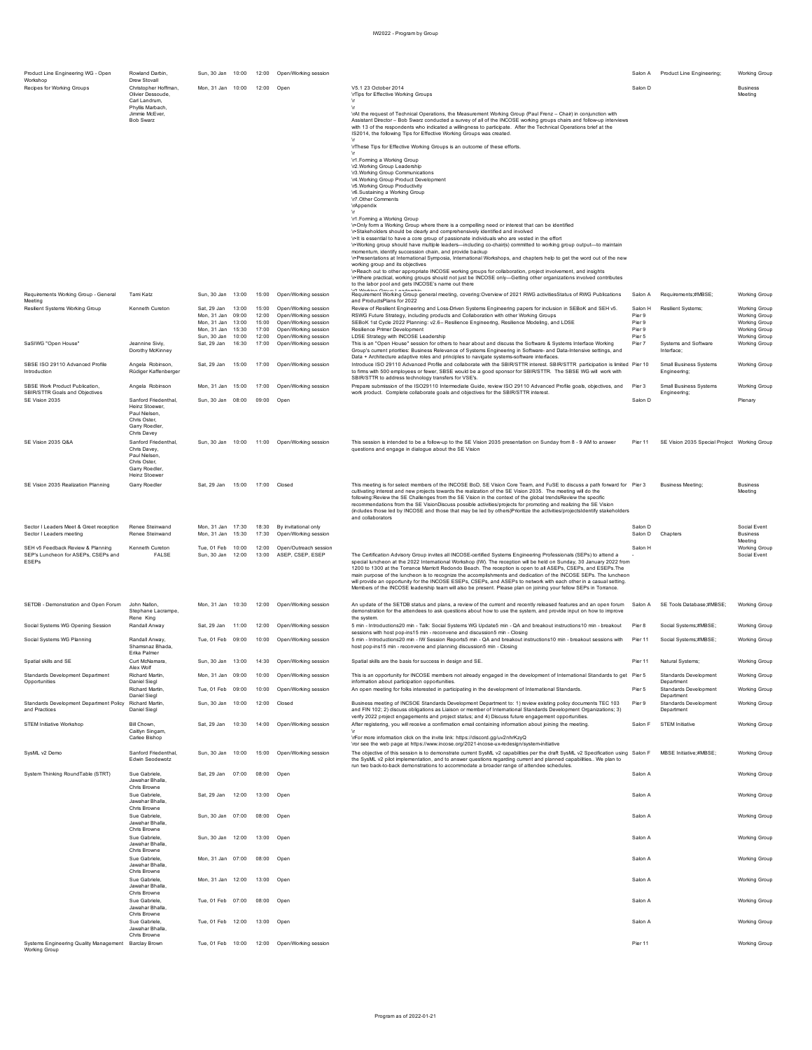| Product Line Engineering WG - Open<br>Workshop                           | Rowland Darbin<br>Drew Stovall           | Sun, 30 Jan 10:00                |                |                | 12:00 Open/Working session                   |                                                                                                                                                                                                                                              | Salon A          | Product Line Engineering;                     | <b>Working Group</b>                  |
|--------------------------------------------------------------------------|------------------------------------------|----------------------------------|----------------|----------------|----------------------------------------------|----------------------------------------------------------------------------------------------------------------------------------------------------------------------------------------------------------------------------------------------|------------------|-----------------------------------------------|---------------------------------------|
| Recipes for Working Groups                                               | Christopher Hoffman<br>Olivier Dessoude  | Mon 31 Jan 10:00                 |                | 12:00          | Open                                         | V5.1 23 October 2014<br>\rTips for Effective Working Groups                                                                                                                                                                                  | Salon D          |                                               | <b>Business</b><br>Meeting            |
|                                                                          | Carl Landrum,<br>Phyllis Marbach,        |                                  |                |                |                                              |                                                                                                                                                                                                                                              |                  |                                               |                                       |
|                                                                          | Jimmie McEver.<br><b>Bob Swarz</b>       |                                  |                |                |                                              | \rAt the request of Technical Operations, the Measurement Working Group (Paul Frenz - Chair) in conjunction with<br>Assistant Director - Bob Swarz conducted a survey of all of the INCOSE working groups chairs and follow-up interviews    |                  |                                               |                                       |
|                                                                          |                                          |                                  |                |                |                                              | with 13 of the respondents who indicated a willingness to participate. After the Technical Operations brief at the<br>IS2014, the following Tips for Effective Working Groups was created.                                                   |                  |                                               |                                       |
|                                                                          |                                          |                                  |                |                |                                              | \rThese Tips for Effective Working Groups is an outcome of these efforts.                                                                                                                                                                    |                  |                                               |                                       |
|                                                                          |                                          |                                  |                |                |                                              | \r1.Forming a Working Group                                                                                                                                                                                                                  |                  |                                               |                                       |
|                                                                          |                                          |                                  |                |                |                                              | \r2.Working Group Leadership<br>\r3.Working Group Communications                                                                                                                                                                             |                  |                                               |                                       |
|                                                                          |                                          |                                  |                |                |                                              | \r4.Working Group Product Development<br>\r5.Working Group Productivity                                                                                                                                                                      |                  |                                               |                                       |
|                                                                          |                                          |                                  |                |                |                                              | \r6.Sustaining a Working Group<br>\r7.Other Comments                                                                                                                                                                                         |                  |                                               |                                       |
|                                                                          |                                          |                                  |                |                |                                              | \rAppendix                                                                                                                                                                                                                                   |                  |                                               |                                       |
|                                                                          |                                          |                                  |                |                |                                              | \r1.Forming a Working Group<br>In Only form a Working Group where there is a compelling need or interest that can be identified                                                                                                              |                  |                                               |                                       |
|                                                                          |                                          |                                  |                |                |                                              | \r*Stakeholders should be clearly and comprehensively identified and involved                                                                                                                                                                |                  |                                               |                                       |
|                                                                          |                                          |                                  |                |                |                                              | \r•It is essential to have a core group of passionate individuals who are vested in the effort<br>\r•Working group should have multiple leaders-including co-chair(s) committed to working group output-to maintain                          |                  |                                               |                                       |
|                                                                          |                                          |                                  |                |                |                                              | momentum, identify succession chain, and provide backup<br>\r*Presentations at International Symposia, International Workshops, and chapters help to get the word out of the new                                                             |                  |                                               |                                       |
|                                                                          |                                          |                                  |                |                |                                              | working group and its objectives<br>\r-Reach out to other appropriate INCOSE working groups for collaboration, project involvement, and insights                                                                                             |                  |                                               |                                       |
|                                                                          |                                          |                                  |                |                |                                              | \r*Where practical, working groups should not just be INCOSE only-Getting other organizations involved contributes<br>to the labor pool and gets INCOSE's name out there                                                                     |                  |                                               |                                       |
| Requirements Working Group - General                                     | Tami Katz                                | Sun, 30 Jan 13:00                |                | 15:00          | Open/Working session                         | Requirement Working Group general meeting, covering: Overview of 2021 RWG activitiesStatus of RWG Publications                                                                                                                               | Salon A          | Requirements;#MBSE;                           | <b>Working Group</b>                  |
| Meeting<br><b>Resilient Systems Working Group</b>                        | Kenneth Cureton                          | Sat, 29 Jan 13:00                |                | 15:00          | Open/Working session                         | and ProductsPlans for 2022<br>Review of Resilient Engineering and Loss-Driven Systems Engineering papers for inclusion in SEBoK and SEH v5.                                                                                                  | Salon H          | Resilient Systems;                            | <b>Working Group</b>                  |
|                                                                          |                                          | Mon, 31 Jan<br>Mon. 31 Jan       | 09:00<br>13:00 | 12:00<br>15:00 | Open/Working session<br>Open/Working session | RSWG Future Strategy, including products and Collaboration with other Working Groups<br>SEBoK 1st Cycle 2022 Planning: v2.6-- Resilience Engineering, Resilience Modeling, and LDSE                                                          | Pier 9<br>Pier 9 |                                               | <b>Working Group</b><br>Working Group |
|                                                                          |                                          | Mon, 31 Jan                      | 15:30          | 17:00          | Open/Working session                         | Resilience Primer Development                                                                                                                                                                                                                | Pier 9           |                                               | <b>Working Group</b>                  |
| SaSIWG "Open House"                                                      | Jeannine Siviy,                          | Sun. 30 Jan 10:00<br>Sat, 29 Jan | 16:30          | 12:00<br>17:00 | Onen/Working session<br>Open/Working session | LDSE Strategy with INCOSE Leadership<br>This is an "Open House" session for others to hear about and discuss the Software & Systems Interface Working                                                                                        | Pier 5<br>Pier 7 | Systems and Software                          | Working Group<br><b>Working Group</b> |
|                                                                          | Dorothy McKinney                         |                                  |                |                |                                              | Group's current priorities: Business Relevance of Systems Engineering in Software- and Data-Intensive settings, and<br>Data + Architecture adaptive roles and principles to navigate systems-software interfaces.                            |                  | Interface:                                    |                                       |
| SBSE ISO 29110 Advanced Profile<br>Introduction                          | Angela Robinson,<br>Rüdiger Kaffenberger | Sat, 29 Jan                      | 15:00          | 17:00          | Open/Working session                         | Introduce ISO 29110 Advanced Profile and collaborate with the SBIR/STTR interest. SBIR/STTR participation is limited Pier 10<br>to firms with 500 employees or fewer, SBSE would be a good sponsor for SBIR/STTR. The SBSE WG will work with |                  | <b>Small Business Systems</b><br>Engineering; | <b>Working Group</b>                  |
|                                                                          |                                          |                                  |                |                |                                              | SBIR/STTR to address technology transfers for VSE's.                                                                                                                                                                                         |                  |                                               |                                       |
| SBSE Work Product Publication,<br>SBIR/STTR Goals and Objectives         | Angela Robinson                          | Mon, 31 Jan 15:00                |                | 17:00          | Open/Working session                         | Prepare submission of the ISO29110 Intermediate Guide, review ISO 29110 Advanced Profile goals, objectives, and<br>work product. Complete collaborate goals and objectives for the SBIR/STTR interest.                                       | Pier 3           | <b>Small Business Systems</b><br>Engineering: | <b>Working Group</b>                  |
| SE Vision 2035                                                           | Sanford Friedenthal,<br>Heinz Stoewer.   | Sun. 30 Jan 08:00                |                | 09:00 Open     |                                              |                                                                                                                                                                                                                                              | Salon D          |                                               | Plenary                               |
|                                                                          | Paul Nielsen<br>Chris Oster,             |                                  |                |                |                                              |                                                                                                                                                                                                                                              |                  |                                               |                                       |
|                                                                          | Garry Roedler.<br>Chris Davey            |                                  |                |                |                                              |                                                                                                                                                                                                                                              |                  |                                               |                                       |
| SE Vision 2035 Q&A                                                       | Sanford Friedenthal                      | Sun. 30 Jan 10:00                |                |                | 11:00 Open/Working session                   | This session is intended to be a follow-up to the SE Vision 2035 presentation on Sunday from 8 - 9 AM to answer                                                                                                                              | Pier 11          | SE Vision 2035 Special Project Working Group  |                                       |
|                                                                          | Chris Davey,<br>Paul Nielsen,            |                                  |                |                |                                              | questions and engage in dialogue about the SE Vision                                                                                                                                                                                         |                  |                                               |                                       |
|                                                                          | Chris Oster.<br>Garry Roedler            |                                  |                |                |                                              |                                                                                                                                                                                                                                              |                  |                                               |                                       |
|                                                                          | Heinz Stoewer                            |                                  |                |                |                                              |                                                                                                                                                                                                                                              |                  |                                               |                                       |
| SE Vision 2035 Realization Planning                                      | Garry Roedler                            | Sat, 29 Jan                      | 15:00          | 17:00          | Closed                                       | This meeting is for select members of the INCOSE BoD, SE Vision Core Team, and FuSE to discuss a path forward for Pier 3<br>cultivating interest and new projects towards the realization of the SE Vision 2035. The meeting will do the     |                  | <b>Business Meeting;</b>                      | <b>Business</b><br>Meeting            |
|                                                                          |                                          |                                  |                |                |                                              | following:Review the SE Challenges from the SE Vision in the context of the global trendsReview the specific<br>recommendations from the SE VisionDiscuss possible activities/projects for promoting and realizing the SE Vision             |                  |                                               |                                       |
|                                                                          |                                          |                                  |                |                |                                              | (includes those led by INCOSE and those that may be led by others)Prioritize the activities/projectsIdentify stakeholders<br>and collaborators                                                                                               |                  |                                               |                                       |
| Sector I Leaders Meet & Greet reception                                  | Renee Steinwand                          | Mon, 31 Jan 17:30                |                |                | 18:30 By invitational only                   |                                                                                                                                                                                                                                              | Salon D          |                                               | Social Event                          |
| Sector I Leaders meeting                                                 | Renee Steinwand                          | Mon, 31 Jan                      | 15:30          | 17:30          | Open/Working session                         |                                                                                                                                                                                                                                              | Salon D          | Chapters                                      | <b>Business</b><br>Meeting            |
| SEH v5 Feedback Review & Planning<br>SEP's Luncheon for ASEPs. CSEPs and | Kenneth Cureton<br><b>FALSE</b>          | Tue, 01 Feb<br>Sun, 30 Jan       | 10:00<br>12:00 | 12:00<br>13:00 | Open/Outreach session<br>ASEP, CSEP, ESEP    | The Certification Advisory Group invites all INCOSE-certified Systems Engineering Professionals (SEPs) to attend a                                                                                                                           | Salon H          |                                               | <b>Working Group</b><br>Social Event  |
| <b>ESEPs</b>                                                             |                                          |                                  |                |                |                                              | special luncheon at the 2022 International Workshop (IW). The reception will be held on Sunday, 30 January 2022 from<br>1200 to 1300 at the Torrance Marriott Redondo Beach. The reception is open to all ASEPs, CSEPs, and ESEPs. The       |                  |                                               |                                       |
|                                                                          |                                          |                                  |                |                |                                              | main purpose of the luncheon is to recognize the accomplishments and dedication of the INCOSE SEPs. The luncheon<br>will provide an opportunity for the INCOSE ESEPs, CSEPs, and ASEPs to network with each other in a casual setting.       |                  |                                               |                                       |
|                                                                          |                                          |                                  |                |                |                                              | Members of the INCOSE leadership team will also be present. Please plan on joining your fellow SEPs in Torrance.                                                                                                                             |                  |                                               |                                       |
| SETDB - Demonstration and Open Forum                                     | John Nallon                              | Mon, 31 Jan                      | 10:30          | 12:00          | Open/Working session                         | An update of the SETDB status and plans, a review of the current and recently released features and an open forum                                                                                                                            | Salon A          | SE Tools Database;#MBSE;                      | <b>Working Group</b>                  |
|                                                                          | Stephane Lacrampe.<br>Rene King          |                                  |                |                |                                              | demonstration for the attendees to ask questions about how to use the system, and provide input on how to improve<br>the system.                                                                                                             |                  |                                               |                                       |
| Social Systems WG Opening Session                                        | Randall Anway                            | Sat, 29 Jan 11:00                |                | 12:00          | Open/Working session                         | 5 min - Introductions20 min - Talk: Social Systems WG Update5 min - QA and breakout instructions10 min - breakout<br>sessions with host pop-ins15 min - reconvene and discussion5 min - Closing                                              | Pier 8           | Social Systems;#MBSE;                         | <b>Working Group</b>                  |
| Social Systems WG Planning                                               | Randall Anway,                           | Tue, 01 Feb 09:00                |                |                | 10:00 Open/Working session                   | 5 min - Introductions20 min - IW Session Reports5 min - QA and breakout instructions10 min - breakout sessions with                                                                                                                          | Pier 11          | Social Systems;#MBSE;                         | Working Group                         |
|                                                                          | Shamsnaz Bhada.<br>Erika Palmer          |                                  |                |                |                                              | host pop-ins15 min - reconvene and planning discussion5 min - Closing                                                                                                                                                                        |                  |                                               |                                       |
| Spatial skills and SE                                                    | Curt McNamara<br>Alex Wolf               | Sun, 30 Jan                      | 13:00          | 14:30          | Open/Working session                         | Spatial skills are the basis for success in design and SE                                                                                                                                                                                    | Pier 11          | Natural Systems                               | Working Group                         |
| Standards Development Department<br>Opportunities                        | Richard Martin.<br>Daniel Siegl          | Mon, 31 Jan 09:00                |                | 10:00          | Open/Working session                         | This is an opportunity for INCOSE members not already engaged in the development of International Standards to get Pier 5<br>information about participation opportunities                                                                   |                  | Standards Development<br>Department           | <b>Working Group</b>                  |
|                                                                          | Richard Martin.                          | Tue, 01 Feb 09:00                |                | 10:00          | Open/Working session                         | An open meeting for folks interested in participating in the development of International Standards.                                                                                                                                         | Pier 5           | Standards Development                         | <b>Working Group</b>                  |
| Standards Development Department Policy                                  | Daniel Siegl<br>Richard Martin,          | Sun, 30 Jan                      | 10:00          | 12:00          | Closed                                       | Business meeting of INCSOE Standards Development Department to: 1) review existing policy documents TEC 103                                                                                                                                  | Pier 9           | Department<br><b>Standards Development</b>    | <b>Working Group</b>                  |
| and Practices                                                            | Daniel Siegl                             |                                  |                |                |                                              | and FIN 102; 2) discuss obligations as Liaison or member of International Standards Development Organizations; 3)<br>verify 2022 project engagements and project status; and 4) Discuss future engagement opportunities.                     |                  | Department                                    |                                       |
| STEM Initiative Workshop                                                 | Bill Chown.<br>Caitlyn Singam            | Sat. 29 Jan                      | 10:30          | 14:00          | Open/Working session                         | After registering, you will receive a confirmation email containing information about joining the meeting.                                                                                                                                   | Salon F          | <b>STEM Initiative</b>                        | <b>Working Group</b>                  |
|                                                                          | Carlee Bishop                            |                                  |                |                |                                              | \rFor more information click on the invite link: https://discord.gg/uv2nhrKzyQ                                                                                                                                                               |                  |                                               |                                       |
| SysML v2 Demo                                                            | Sanford Friedenthal                      | Sun, 30 Jan 10:00                |                | 15:00          | Open/Working session                         | \ror see the web page at https://www.incose.org/2021-incose-ux-redesign/system-initiative<br>The objective of this session is to demonstrate current SysML v2 capabilities per the draft SysML v2 Specification using Salon F                |                  | MBSE Initiative:#MBSE:                        | <b>Working Group</b>                  |
|                                                                          | Edwin Seodewotz                          |                                  |                |                |                                              | the SysML v2 pilot implementation, and to answer questions regarding current and planned capabilities We plan to<br>run two back-to-back demonstrations to accommodate a broader range of attendee schedules.                                |                  |                                               |                                       |
| System Thinking RoundTable (STRT)                                        | Sue Gabriele.<br>Jawahar Bhalla.         | Sat. 29 Jan                      | 07:00          | 08:00          | Open                                         |                                                                                                                                                                                                                                              | Salon A          |                                               | <b>Working Group</b>                  |
|                                                                          | Chris Browne                             |                                  |                |                |                                              |                                                                                                                                                                                                                                              |                  |                                               |                                       |
|                                                                          | Sue Gabriele,<br>Jawahar Bhalla,         | Sat, 29 Jan                      | 12:00          | 13:00          | Open                                         |                                                                                                                                                                                                                                              | Salon A          |                                               | <b>Working Group</b>                  |
|                                                                          | Chris Browne<br>Sue Gabriele             | Sun, 30 Jan 07:00                |                | 08:00          | Open                                         |                                                                                                                                                                                                                                              | Salon A          |                                               | <b>Working Group</b>                  |
|                                                                          | Jawahar Bhalla,<br>Chris Browne          |                                  |                |                |                                              |                                                                                                                                                                                                                                              |                  |                                               |                                       |
|                                                                          | Sue Gabriele,                            | Sun, 30 Jan 12:00                |                | 13:00 Open     |                                              |                                                                                                                                                                                                                                              | Salon A          |                                               | <b>Working Group</b>                  |
|                                                                          | Jawahar Bhalla.<br>Chris Browne          |                                  |                |                |                                              |                                                                                                                                                                                                                                              |                  |                                               |                                       |
|                                                                          | Sue Gabriele,<br>Jawahar Bhalla,         | Mon, 31 Jan                      | 07:00          | 08:00          | Open                                         |                                                                                                                                                                                                                                              | Salon A          |                                               | <b>Working Group</b>                  |
|                                                                          | Chris Browne<br>Sue Gabriele             | Mon. 31 Jan 12:00                |                | 13:00 Open     |                                              |                                                                                                                                                                                                                                              | Salon A          |                                               | <b>Working Group</b>                  |
|                                                                          | Jawahar Bhalla,<br>Chris Browne          |                                  |                |                |                                              |                                                                                                                                                                                                                                              |                  |                                               |                                       |
|                                                                          |                                          |                                  |                |                |                                              |                                                                                                                                                                                                                                              |                  |                                               | <b>Working Group</b>                  |
|                                                                          | Sue Gabriele,                            | Tue, 01 Feb 07:00                |                | 08:00 Open     |                                              |                                                                                                                                                                                                                                              | Salon A          |                                               |                                       |
|                                                                          | Jawahar Bhalla.<br>Chris Browne          |                                  |                |                |                                              |                                                                                                                                                                                                                                              |                  |                                               |                                       |
|                                                                          | Sue Gabriele.<br>Jawahar Bhalla.         | Tue, 01 Feb 12:00                |                | 13:00          | Open                                         |                                                                                                                                                                                                                                              | Salon A          |                                               | <b>Working Group</b>                  |
| Systems Engineering Quality Management Barclay Brown                     | Chris Browne                             |                                  |                |                | Tue, 01 Feb 10:00 12:00 Open/Working session |                                                                                                                                                                                                                                              | Pier 11          |                                               | <b>Working Group</b>                  |